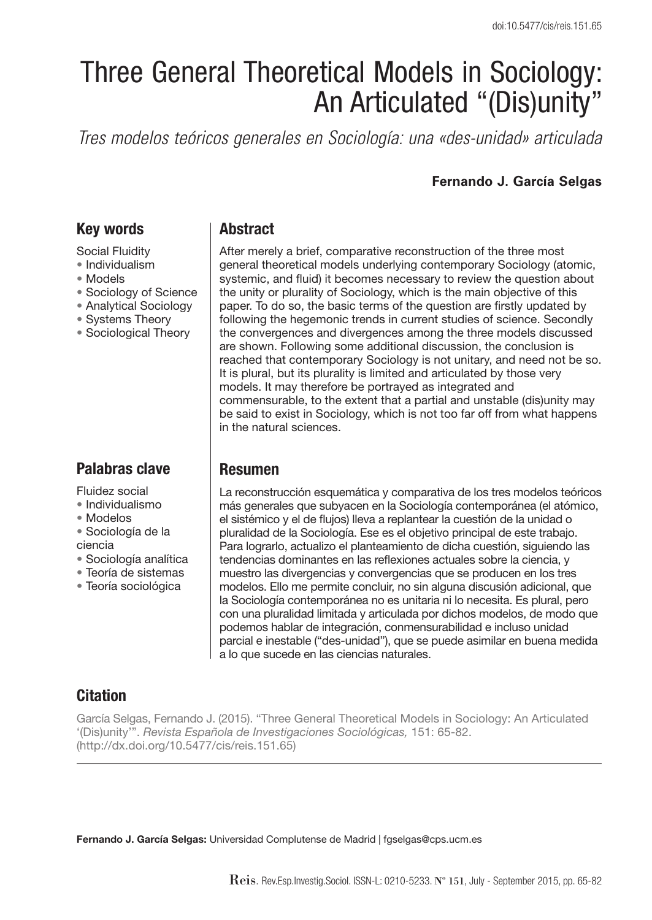# Three General Theoretical Models in Sociology: An Articulated "(Dis)unity"

*Tres modelos teóricos generales en Sociología: una «des-unidad» articulada*

#### **Fernando J. García Selgas**

### **Key words**

Social Fluidity

- Individualism
- Models
- Sociology of Science
- Analytical Sociology
- Systems Theory
- Sociological Theory

# **Palabras clave**

Fluidez social

- Individualismo
- Modelos
- Sociología de la ciencia
- Sociología analítica
- Teoría de sistemas
- Teoría sociológica

## **Abstract**

After merely a brief, comparative reconstruction of the three most general theoretical models underlying contemporary Sociology (atomic, systemic, and fluid) it becomes necessary to review the question about the unity or plurality of Sociology, which is the main objective of this paper. To do so, the basic terms of the question are firstly updated by following the hegemonic trends in current studies of science. Secondly the convergences and divergences among the three models discussed are shown. Following some additional discussion, the conclusion is reached that contemporary Sociology is not unitary, and need not be so. It is plural, but its plurality is limited and articulated by those very models. It may therefore be portrayed as integrated and commensurable, to the extent that a partial and unstable (dis)unity may be said to exist in Sociology, which is not too far off from what happens in the natural sciences.

## **Resumen**

La reconstrucción esquemática y comparativa de los tres modelos teóricos más generales que subyacen en la Sociología contemporánea (el atómico, el sistémico y el de flujos) lleva a replantear la cuestión de la unidad o pluralidad de la Sociología. Ese es el objetivo principal de este trabajo. Para lograrlo, actualizo el planteamiento de dicha cuestión, siguiendo las tendencias dominantes en las reflexiones actuales sobre la ciencia, y muestro las divergencias y convergencias que se producen en los tres modelos. Ello me permite concluir, no sin alguna discusión adicional, que la Sociología contemporánea no es unitaria ni lo necesita. Es plural, pero con una pluralidad limitada y articulada por dichos modelos, de modo que podemos hablar de integración, conmensurabilidad e incluso unidad parcial e inestable ("des-unidad"), que se puede asimilar en buena medida a lo que sucede en las ciencias naturales.

# **Citation**

García Selgas, Fernando J. (2015). "Three General Theoretical Models in Sociology: An Articulated '(Dis)unity'". Revista Española de Investigaciones Sociológicas, 151: 65-82. (http://dx.doi.org/10.5477/cis/reis.151.65)

**Fernando J. García Selgas:** Universidad Complutense de Madrid | fgselgas@cps.ucm.es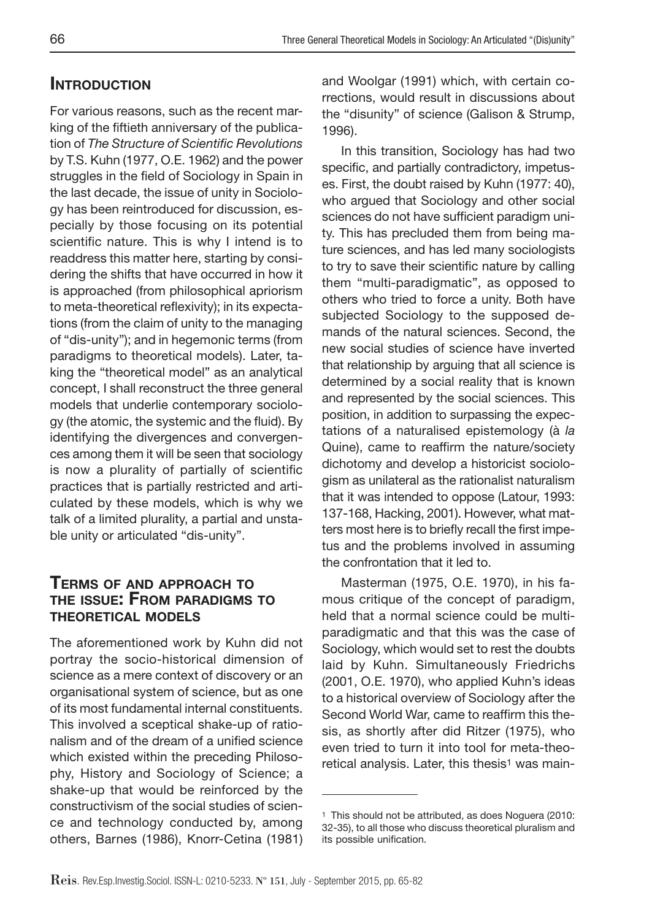#### **INTRODUCTION**

For various reasons, such as the recent marking of the fiftieth anniversary of the publication of The Structure of Scientific Revolutions by T.S. Kuhn (1977, O.E. 1962) and the power struggles in the field of Sociology in Spain in the last decade, the issue of unity in Sociology has been reintroduced for discussion, especially by those focusing on its potential scientific nature. This is why I intend is to readdress this matter here, starting by considering the shifts that have occurred in how it is approached (from philosophical apriorism to meta-theoretical reflexivity); in its expectations (from the claim of unity to the managing of "dis-unity"); and in hegemonic terms (from paradigms to theoretical models). Later, taking the "theoretical model" as an analytical concept, I shall reconstruct the three general models that underlie contemporary sociology (the atomic, the systemic and the fluid). By identifying the divergences and convergences among them it will be seen that sociology is now a plurality of partially of scientific practices that is partially restricted and articulated by these models, which is why we talk of a limited plurality, a partial and unstable unity or articulated "dis-unity".

#### **TERMS OF AND APPROACH TO THE ISSUE: FROM PARADIGMS TO THEORETICAL MODELS**

The aforementioned work by Kuhn did not portray the socio-historical dimension of science as a mere context of discovery or an organisational system of science, but as one of its most fundamental internal constituents. This involved a sceptical shake-up of rationalism and of the dream of a unified science which existed within the preceding Philosophy, History and Sociology of Science; a shake-up that would be reinforced by the constructivism of the social studies of science and technology conducted by, among others, Barnes (1986), Knorr-Cetina (1981) and Woolgar (1991) which, with certain corrections, would result in discussions about the "disunity" of science (Galison & Strump, 1996).

In this transition, Sociology has had two specific, and partially contradictory, impetuses. First, the doubt raised by Kuhn (1977: 40), who argued that Sociology and other social sciences do not have sufficient paradigm unity. This has precluded them from being mature sciences, and has led many sociologists to try to save their scientific nature by calling them "multi-paradigmatic", as opposed to others who tried to force a unity. Both have subjected Sociology to the supposed demands of the natural sciences. Second, the new social studies of science have inverted that relationship by arguing that all science is determined by a social reality that is known and represented by the social sciences. This position, in addition to surpassing the expectations of a naturalised epistemology (à la Quine), came to reaffirm the nature/society dichotomy and develop a historicist sociologism as unilateral as the rationalist naturalism that it was intended to oppose (Latour, 1993: 137-168, Hacking, 2001). However, what matters most here is to briefly recall the first impetus and the problems involved in assuming the confrontation that it led to.

Masterman (1975, O.E. 1970), in his famous critique of the concept of paradigm, held that a normal science could be multiparadigmatic and that this was the case of Sociology, which would set to rest the doubts laid by Kuhn. Simultaneously Friedrichs (2001, O.E.1970), who applied Kuhn's ideas to a historical overview of Sociology after the Second World War, came to reaffirm this thesis, as shortly after did Ritzer (1975), who even tried to turn it into tool for meta-theoretical analysis. Later, this thesis<sup>1</sup> was main-

<sup>1</sup> This should not be attributed, as does Noguera (2010: 32-35), to all those who discuss theoretical pluralism and its possible unification.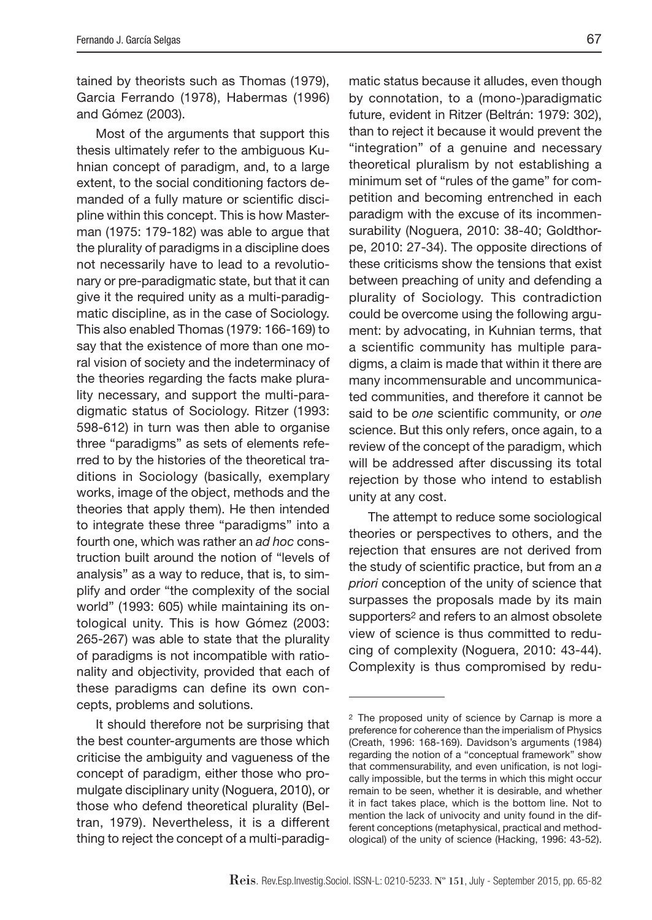tained by theorists such as Thomas (1979), Garcia Ferrando (1978), Habermas (1996) and Gómez (2003).

Most of the arguments that support this thesis ultimately refer to the ambiguous Kuhnian concept of paradigm, and, to a large extent, to the social conditioning factors demanded of a fully mature or scientific discipline within this concept. This is how Masterman (1975: 179-182) was able to argue that the plurality of paradigms in a discipline does not necessarily have to lead to a revolutionary or pre-paradigmatic state, but that it can give it the required unity as a multi-paradigmatic discipline, as in the case of Sociology. This also enabled Thomas (1979: 166-169) to say that the existence of more than one moral vision of society and the indeterminacy of the theories regarding the facts make plurality necessary, and support the multi-paradigmatic status of Sociology. Ritzer (1993: 598-612) in turn was then able to organise three "paradigms" as sets of elements referred to by the histories of the theoretical traditions in Sociology (basically, exemplary works, image of the object, methods and the theories that apply them). He then intended to integrate these three "paradigms" into a fourth one, which was rather an ad hoc construction built around the notion of "levels of analysis" as a way to reduce, that is, to simplify and order "the complexity of the social world" (1993: 605) while maintaining its ontological unity. This is how Gómez (2003: 265-267) was able to state that the plurality of paradigms is not incompatible with rationality and objectivity, provided that each of these paradigms can define its own concepts, problems and solutions.

It should therefore not be surprising that the best counter-arguments are those which criticise the ambiguity and vagueness of the concept of paradigm, either those who promulgate disciplinary unity (Noguera, 2010), or those who defend theoretical plurality (Beltran, 1979). Nevertheless, it is a different thing to reject the concept of a multi-paradigmatic status because it alludes, even though by connotation, to a (mono-)paradigmatic future, evident in Ritzer (Beltrán: 1979: 302), than to reject it because it would prevent the "integration" of a genuine and necessary theoretical pluralism by not establishing a minimum set of "rules of the game" for competition and becoming entrenched in each paradigm with the excuse of its incommensurability (Noguera, 2010: 38-40; Goldthorpe, 2010: 27-34). The opposite directions of these criticisms show the tensions that exist between preaching of unity and defending a plurality of Sociology. This contradiction could be overcome using the following argument: by advocating, in Kuhnian terms, that a scientific community has multiple paradigms, a claim is made that within it there are many incommensurable and uncommunicated communities, and therefore it cannot be said to be one scientific community, or one science. But this only refers, once again, to a review of the concept of the paradigm, which will be addressed after discussing its total rejection by those who intend to establish unity at any cost.

The attempt to reduce some sociological theories or perspectives to others, and the rejection that ensures are not derived from the study of scientific practice, but from an a priori conception of the unity of science that surpasses the proposals made by its main supporters2 and refers to an almost obsolete view of science is thus committed to reducing of complexity (Noguera, 2010: 43-44). Complexity is thus compromised by redu-

<sup>2</sup> The proposed unity of science by Carnap is more a preference for coherence than the imperialism of Physics (Creath, 1996: 168-169). Davidson's arguments (1984) regarding the notion of a "conceptual framework" show that commensurability, and even unification, is not logically impossible, but the terms in which this might occur remain to be seen, whether it is desirable, and whether it in fact takes place, which is the bottom line. Not to mention the lack of univocity and unity found in the different conceptions (metaphysical, practical and methodological) of the unity of science (Hacking, 1996: 43-52).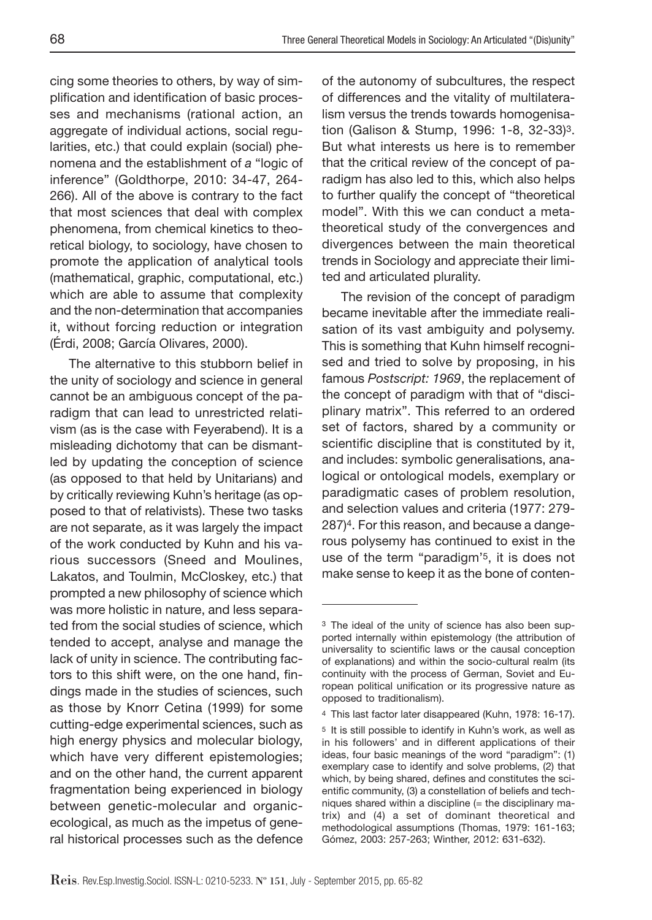cing some theories to others, by way of simplification and identification of basic processes and mechanisms (rational action, an aggregate of individual actions, social regularities, etc.) that could explain (social) phenomena and the establishment of a "logic of inference" (Goldthorpe, 2010: 34-47, 264- 266). All of the above is contrary to the fact that most sciences that deal with complex phenomena, from chemical kinetics to theoretical biology, to sociology, have chosen to promote the application of analytical tools (mathematical, graphic, computational, etc.) which are able to assume that complexity and the non-determination that accompanies it, without forcing reduction or integration (Érdi, 2008; García Olivares, 2000).

The alternative to this stubborn belief in the unity of sociology and science in general cannot be an ambiguous concept of the paradigm that can lead to unrestricted relativism (as is the case with Feyerabend). It is a misleading dichotomy that can be dismantled by updating the conception of science (as opposed to that held by Unitarians) and by critically reviewing Kuhn's heritage (as opposed to that of relativists). These two tasks are not separate, as it was largely the impact of the work conducted by Kuhn and his various successors (Sneed and Moulines, Lakatos, and Toulmin, McCloskey, etc.) that prompted a new philosophy of science which was more holistic in nature, and less separated from the social studies of science, which tended to accept, analyse and manage the lack of unity in science. The contributing factors to this shift were, on the one hand, findings made in the studies of sciences, such as those by Knorr Cetina (1999) for some cutting-edge experimental sciences, such as high energy physics and molecular biology, which have very different epistemologies; and on the other hand, the current apparent fragmentation being experienced in biology between genetic-molecular and organicecological, as much as the impetus of general historical processes such as the defence of the autonomy of subcultures, the respect of differences and the vitality of multilateralism versus the trends towards homogenisation (Galison & Stump, 1996: 1-8, 32-33)3. But what interests us here is to remember that the critical review of the concept of paradigm has also led to this, which also helps to further qualify the concept of "theoretical model". With this we can conduct a metatheoretical study of the convergences and divergences between the main theoretical trends in Sociology and appreciate their limited and articulated plurality.

The revision of the concept of paradigm became inevitable after the immediate realisation of its vast ambiguity and polysemy. This is something that Kuhn himself recognised and tried to solve by proposing, in his famous Postscript: 1969, the replacement of the concept of paradigm with that of "disciplinary matrix". This referred to an ordered set of factors, shared by a community or scientific discipline that is constituted by it, and includes: symbolic generalisations, analogical or ontological models, exemplary or paradigmatic cases of problem resolution, and selection values and criteria (1977: 279- 287)4. For this reason, and because a dangerous polysemy has continued to exist in the use of the term "paradigm'5, it is does not make sense to keep it as the bone of conten-

<sup>3</sup> The ideal of the unity of science has also been supported internally within epistemology (the attribution of universality to scientific laws or the causal conception of explanations) and within the socio-cultural realm (its continuity with the process of German, Soviet and European political unification or its progressive nature as opposed to traditionalism).

<sup>4</sup> This last factor later disappeared (Kuhn, 1978: 16-17).

<sup>5</sup> It is still possible to identify in Kuhn's work, as well as in his followers' and in different applications of their ideas, four basic meanings of the word "paradigm": (1) exemplary case to identify and solve problems, (2) that which, by being shared, defines and constitutes the scientific community, (3) a constellation of beliefs and techniques shared within a discipline (= the disciplinary matrix) and (4) a set of dominant theoretical and methodological assumptions (Thomas, 1979: 161-163; Gómez, 2003: 257-263; Winther, 2012: 631-632).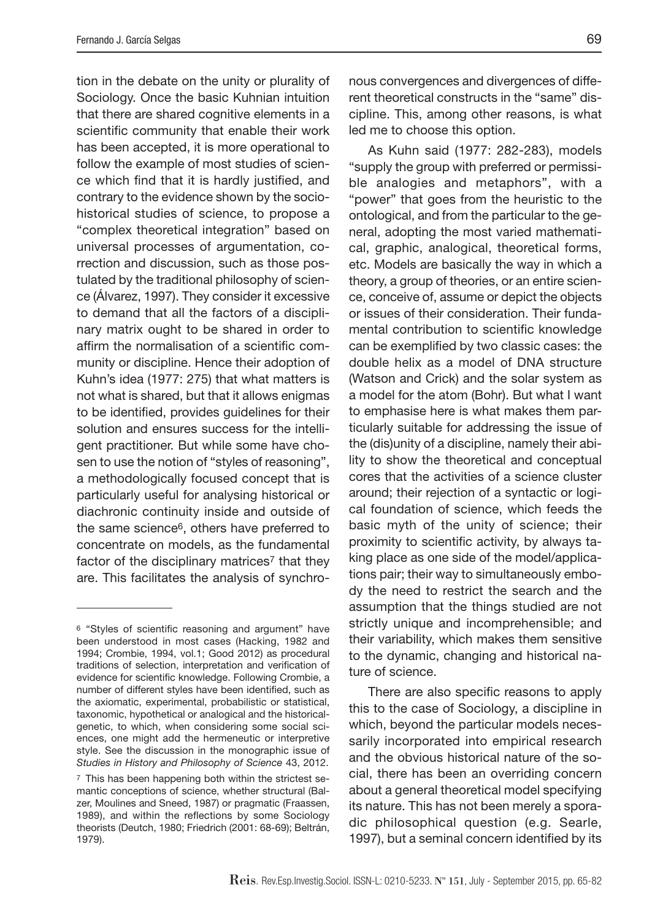tion in the debate on the unity or plurality of Sociology. Once the basic Kuhnian intuition that there are shared cognitive elements in a scientific community that enable their work has been accepted, it is more operational to follow the example of most studies of science which find that it is hardly justified, and contrary to the evidence shown by the sociohistorical studies of science, to propose a "complex theoretical integration" based on universal processes of argumentation, correction and discussion, such as those postulated by the traditional philosophy of science (Álvarez, 1997). They consider it excessive to demand that all the factors of a disciplinary matrix ought to be shared in order to affirm the normalisation of a scientific community or discipline. Hence their adoption of Kuhn's idea (1977: 275) that what matters is not what is shared, but that it allows enigmas to be identified, provides guidelines for their solution and ensures success for the intelligent practitioner. But while some have chosen to use the notion of "styles of reasoning", a methodologically focused concept that is particularly useful for analysing historical or diachronic continuity inside and outside of the same science6, others have preferred to concentrate on models, as the fundamental factor of the disciplinary matrices<sup>7</sup> that they are. This facilitates the analysis of synchronous convergences and divergences of different theoretical constructs in the "same" discipline. This, among other reasons, is what led me to choose this option.

As Kuhn said (1977: 282-283), models "supply the group with preferred or permissible analogies and metaphors", with a "power" that goes from the heuristic to the ontological, and from the particular to the general, adopting the most varied mathematical, graphic, analogical, theoretical forms, etc. Models are basically the way in which a theory, a group of theories, or an entire science, conceive of, assume or depict the objects or issues of their consideration. Their fundamental contribution to scientific knowledge can be exemplified by two classic cases: the double helix as a model of DNA structure (Watson and Crick) and the solar system as a model for the atom (Bohr). But what I want to emphasise here is what makes them particularly suitable for addressing the issue of the (dis)unity of a discipline, namely their ability to show the theoretical and conceptual cores that the activities of a science cluster around; their rejection of a syntactic or logical foundation of science, which feeds the basic myth of the unity of science; their proximity to scientific activity, by always taking place as one side of the model/applications pair; their way to simultaneously embody the need to restrict the search and the assumption that the things studied are not strictly unique and incomprehensible; and their variability, which makes them sensitive to the dynamic, changing and historical nature of science.

There are also specific reasons to apply this to the case of Sociology, a discipline in which, beyond the particular models necessarily incorporated into empirical research and the obvious historical nature of the social, there has been an overriding concern about a general theoretical model specifying its nature. This has not been merely a sporadic philosophical question (e.g. Searle, 1997), but a seminal concern identified by its

<sup>&</sup>lt;sup>6</sup> "Styles of scientific reasoning and argument" have been understood in most cases (Hacking, 1982 and 1994; Crombie, 1994, vol.1; Good 2012) as procedural traditions of selection, interpretation and verification of evidence for scientific knowledge. Following Crombie, a number of different styles have been identified, such as the axiomatic, experimental, probabilistic or statistical, taxonomic, hypothetical or analogical and the historicalgenetic, to which, when considering some social sciences, one might add the hermeneutic or interpretive style. See the discussion in the monographic issue of Studies in History and Philosophy of Science 43, 2012.

<sup>7</sup> This has been happening both within the strictest semantic conceptions of science, whether structural (Balzer, Moulines and Sneed, 1987) or pragmatic (Fraassen, 1989), and within the reflections by some Sociology theorists (Deutch, 1980; Friedrich (2001: 68-69); Beltrán, 1979).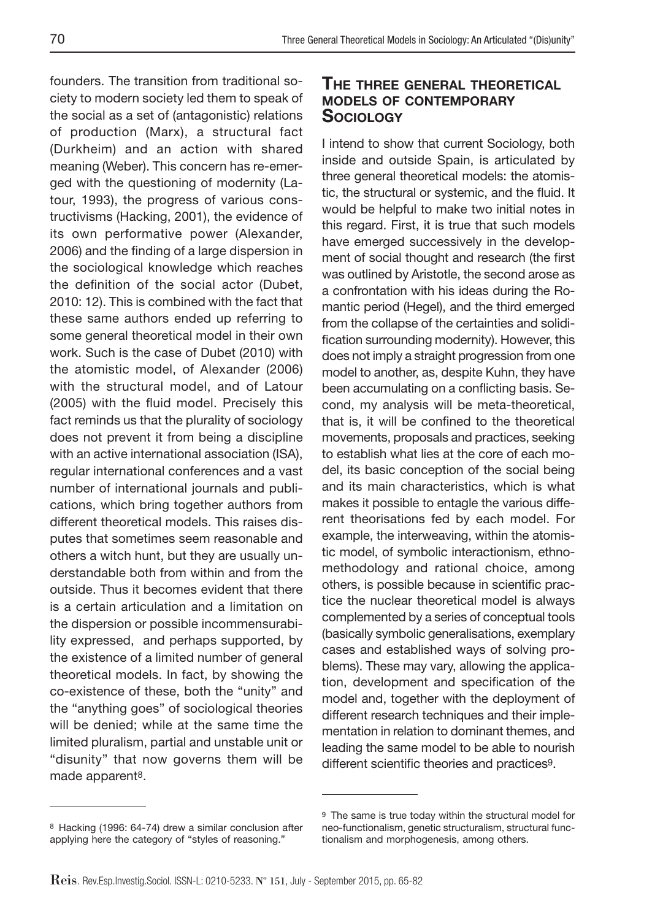founders. The transition from traditional society to modern society led them to speak of the social as a set of (antagonistic) relations of production (Marx), a structural fact (Durkheim) and an action with shared meaning (Weber). This concern has re-emerged with the questioning of modernity (Latour, 1993), the progress of various constructivisms (Hacking, 2001), the evidence of its own performative power (Alexander, 2006) and the finding of a large dispersion in the sociological knowledge which reaches the definition of the social actor (Dubet, 2010: 12). This is combined with the fact that these same authors ended up referring to some general theoretical model in their own work. Such is the case of Dubet (2010) with the atomistic model, of Alexander (2006) with the structural model, and of Latour (2005) with the fluid model. Precisely this fact reminds us that the plurality of sociology does not prevent it from being a discipline with an active international association (ISA), regular international conferences and a vast number of international journals and publications, which bring together authors from different theoretical models. This raises disputes that sometimes seem reasonable and others a witch hunt, but they are usually understandable both from within and from the outside. Thus it becomes evident that there is a certain articulation and a limitation on the dispersion or possible incommensurability expressed, and perhaps supported, by the existence of a limited number of general theoretical models. In fact, by showing the co-existence of these, both the "unity" and the "anything goes" of sociological theories will be denied; while at the same time the limited pluralism, partial and unstable unit or "disunity" that now governs them will be made apparent8.

#### **THE THREE GENERAL THEORETICAL MODELS OF CONTEMPORARY SOCIOLOGY**

I intend to show that current Sociology, both inside and outside Spain, is articulated by three general theoretical models: the atomistic, the structural or systemic, and the fluid. It would be helpful to make two initial notes in this regard. First, it is true that such models have emerged successively in the development of social thought and research (the first was outlined by Aristotle, the second arose as a confrontation with his ideas during the Romantic period (Hegel), and the third emerged from the collapse of the certainties and solidification surrounding modernity). However, this does not imply a straight progression from one model to another, as, despite Kuhn, they have been accumulating on a conflicting basis. Second, my analysis will be meta-theoretical, that is, it will be confined to the theoretical movements, proposals and practices, seeking to establish what lies at the core of each model, its basic conception of the social being and its main characteristics, which is what makes it possible to entagle the various different theorisations fed by each model. For example, the interweaving, within the atomistic model, of symbolic interactionism, ethnomethodology and rational choice, among others, is possible because in scientific practice the nuclear theoretical model is always complemented by a series of conceptual tools (basically symbolic generalisations, exemplary cases and established ways of solving problems). These may vary, allowing the application, development and specification of the model and, together with the deployment of different research techniques and their implementation in relation to dominant themes, and leading the same model to be able to nourish different scientific theories and practices<sup>9</sup>.

<sup>8</sup> Hacking (1996: 64-74) drew a similar conclusion after applying here the category of "styles of reasoning."

<sup>9</sup> The same is true today within the structural model for neo-functionalism, genetic structuralism, structural functionalism and morphogenesis, among others.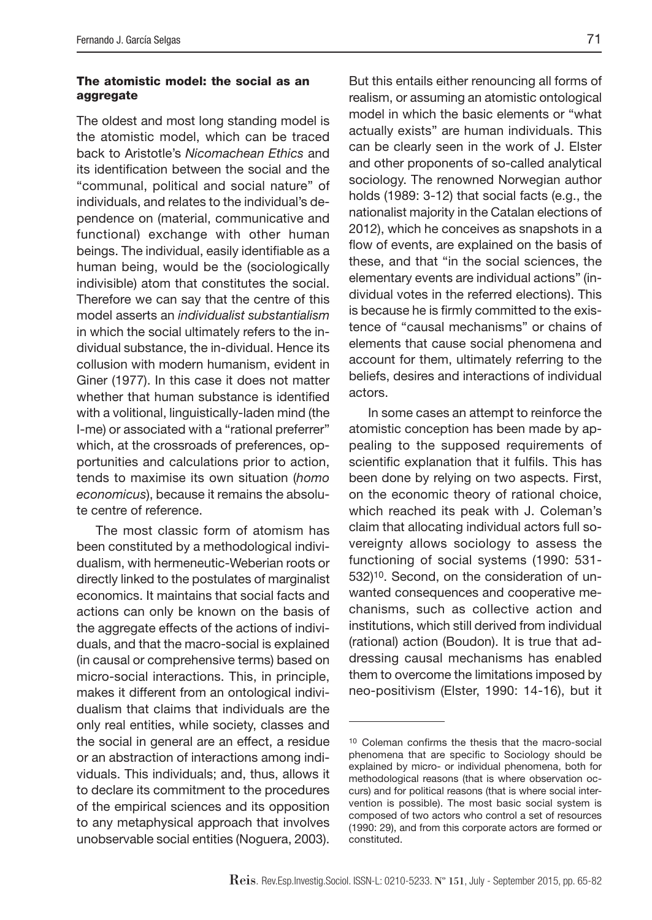#### **The atomistic model: the social as an aggregate**

The oldest and most long standing model is the atomistic model, which can be traced back to Aristotle's Nicomachean Ethics and its identification between the social and the "communal, political and social nature" of individuals, and relates to the individual's dependence on (material, communicative and functional) exchange with other human beings. The individual, easily identifiable as a human being, would be the (sociologically indivisible) atom that constitutes the social. Therefore we can say that the centre of this model asserts an individualist substantialism in which the social ultimately refers to the individual substance, the in-dividual. Hence its collusion with modern humanism, evident in Giner (1977). In this case it does not matter whether that human substance is identified with a volitional, linguistically-laden mind (the I-me) or associated with a "rational preferrer" which, at the crossroads of preferences, opportunities and calculations prior to action, tends to maximise its own situation (homo economicus), because it remains the absolute centre of reference.

The most classic form of atomism has been constituted by a methodological individualism, with hermeneutic-Weberian roots or directly linked to the postulates of marginalist economics. It maintains that social facts and actions can only be known on the basis of the aggregate effects of the actions of individuals, and that the macro-social is explained (in causal or comprehensive terms) based on micro-social interactions. This, in principle, makes it different from an ontological individualism that claims that individuals are the only real entities, while society, classes and the social in general are an effect, a residue or an abstraction of interactions among individuals. This individuals; and, thus, allows it to declare its commitment to the procedures of the empirical sciences and its opposition to any metaphysical approach that involves unobservable social entities (Noguera, 2003).

But this entails either renouncing all forms of realism, or assuming an atomistic ontological model in which the basic elements or "what actually exists" are human individuals. This can be clearly seen in the work of J. Elster and other proponents of so-called analytical sociology. The renowned Norwegian author holds (1989: 3-12) that social facts (e.g., the nationalist majority in the Catalan elections of 2012), which he conceives as snapshots in a flow of events, are explained on the basis of these, and that "in the social sciences, the elementary events are individual actions" (individual votes in the referred elections). This is because he is firmly committed to the existence of "causal mechanisms" or chains of elements that cause social phenomena and account for them, ultimately referring to the beliefs, desires and interactions of individual actors.

In some cases an attempt to reinforce the atomistic conception has been made by appealing to the supposed requirements of scientific explanation that it fulfils. This has been done by relying on two aspects. First, on the economic theory of rational choice, which reached its peak with J. Coleman's claim that allocating individual actors full sovereignty allows sociology to assess the functioning of social systems (1990: 531- 532)10. Second, on the consideration of unwanted consequences and cooperative mechanisms, such as collective action and institutions, which still derived from individual (rational) action (Boudon). It is true that addressing causal mechanisms has enabled them to overcome the limitations imposed by neo-positivism (Elster, 1990: 14-16), but it

<sup>&</sup>lt;sup>10</sup> Coleman confirms the thesis that the macro-social phenomena that are specific to Sociology should be explained by micro- or individual phenomena, both for methodological reasons (that is where observation occurs) and for political reasons (that is where social intervention is possible). The most basic social system is composed of two actors who control a set of resources (1990: 29), and from this corporate actors are formed or constituted.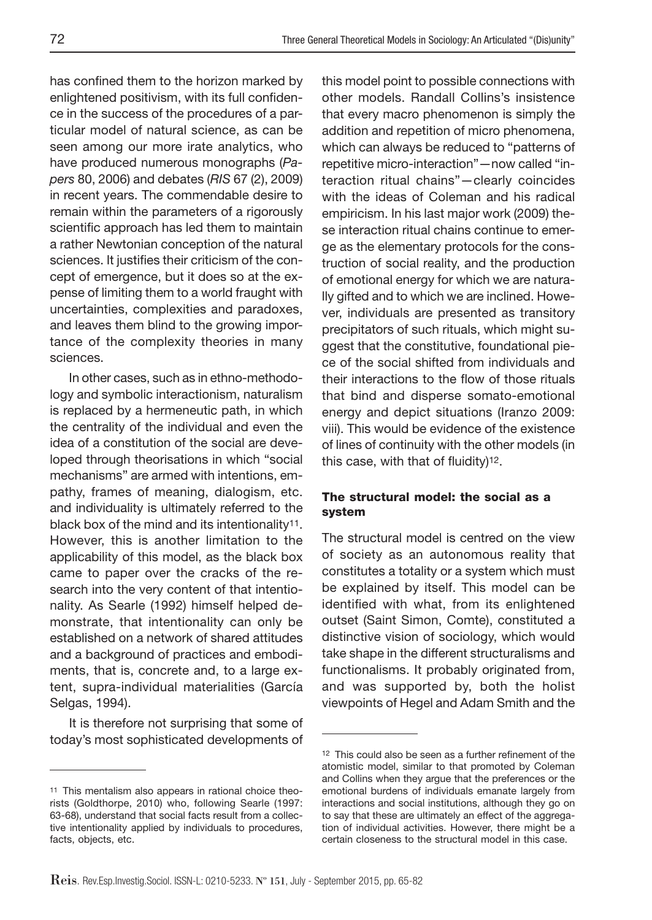has confined them to the horizon marked by enlightened positivism, with its full confidence in the success of the procedures of a particular model of natural science, as can be seen among our more irate analytics, who have produced numerous monographs (Papers 80, 2006) and debates (RIS 67 (2), 2009) in recent years. The commendable desire to remain within the parameters of a rigorously scientific approach has led them to maintain a rather Newtonian conception of the natural sciences. It justifies their criticism of the concept of emergence, but it does so at the expense of limiting them to a world fraught with uncertainties, complexities and paradoxes, and leaves them blind to the growing importance of the complexity theories in many sciences.

In other cases, such as in ethno-methodology and symbolic interactionism, naturalism is replaced by a hermeneutic path, in which the centrality of the individual and even the idea of a constitution of the social are developed through theorisations in which "social mechanisms" are armed with intentions, empathy, frames of meaning, dialogism, etc. and individuality is ultimately referred to the black box of the mind and its intentionality11. However, this is another limitation to the applicability of this model, as the black box came to paper over the cracks of the research into the very content of that intentionality. As Searle (1992) himself helped demonstrate, that intentionality can only be established on a network of shared attitudes and a background of practices and embodiments, that is, concrete and, to a large extent, supra-individual materialities (García Selgas, 1994).

It is therefore not surprising that some of today's most sophisticated developments of

this model point to possible connections with other models. Randall Collins's insistence that every macro phenomenon is simply the addition and repetition of micro phenomena, which can always be reduced to "patterns of repetitive micro-interaction"—now called "interaction ritual chains"—clearly coincides with the ideas of Coleman and his radical empiricism. In his last major work (2009) these interaction ritual chains continue to emerge as the elementary protocols for the construction of social reality, and the production of emotional energy for which we are naturally gifted and to which we are inclined. However, individuals are presented as transitory precipitators of such rituals, which might suggest that the constitutive, foundational piece of the social shifted from individuals and their interactions to the flow of those rituals that bind and disperse somato-emotional energy and depict situations (Iranzo 2009: viii). This would be evidence of the existence of lines of continuity with the other models (in this case, with that of fluidity) $12$ .

#### **The structural model: the social as a system**

The structural model is centred on the view of society as an autonomous reality that constitutes a totality or a system which must be explained by itself. This model can be identified with what, from its enlightened outset (Saint Simon, Comte), constituted a distinctive vision of sociology, which would take shape in the different structuralisms and functionalisms. It probably originated from, and was supported by, both the holist viewpoints of Hegel and Adam Smith and the

<sup>11</sup> This mentalism also appears in rational choice theorists (Goldthorpe, 2010) who, following Searle (1997: 63-68), understand that social facts result from a collective intentionality applied by individuals to procedures, facts, objects, etc.

<sup>&</sup>lt;sup>12</sup> This could also be seen as a further refinement of the atomistic model, similar to that promoted by Coleman and Collins when they argue that the preferences or the emotional burdens of individuals emanate largely from interactions and social institutions, although they go on to say that these are ultimately an effect of the aggregation of individual activities. However, there might be a certain closeness to the structural model in this case.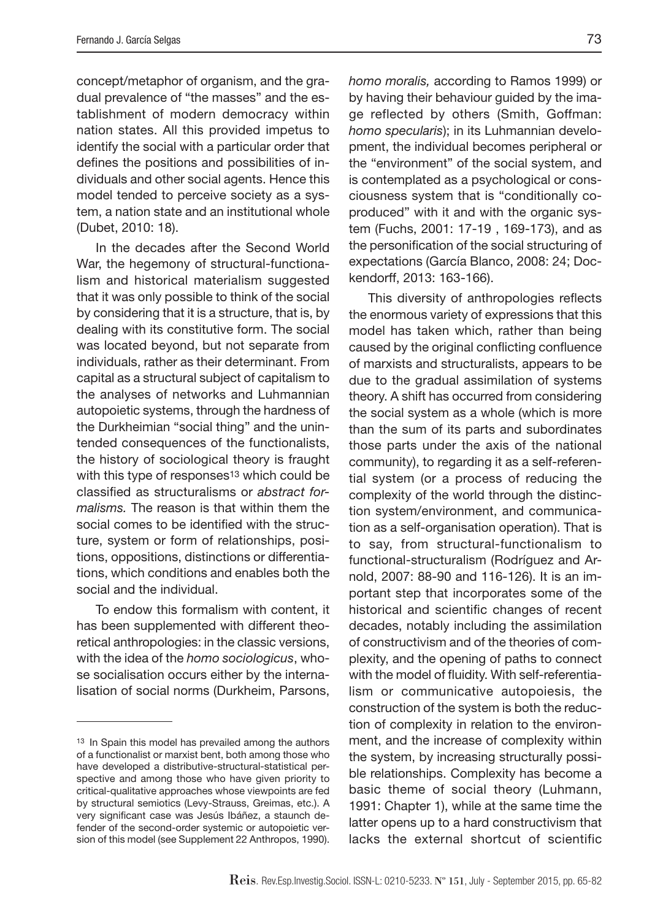concept/metaphor of organism, and the gradual prevalence of "the masses" and the establishment of modern democracy within nation states. All this provided impetus to identify the social with a particular order that defines the positions and possibilities of individuals and other social agents. Hence this model tended to perceive society as a system, a nation state and an institutional whole (Dubet, 2010: 18).

In the decades after the Second World War, the hegemony of structural-functionalism and historical materialism suggested that it was only possible to think of the social by considering that it is a structure, that is, by dealing with its constitutive form. The social was located beyond, but not separate from individuals, rather as their determinant. From capital as a structural subject of capitalism to the analyses of networks and Luhmannian autopoietic systems, through the hardness of the Durkheimian "social thing" and the unintended consequences of the functionalists, the history of sociological theory is fraught with this type of responses<sup>13</sup> which could be classified as structuralisms or abstract formalisms. The reason is that within them the social comes to be identified with the structure, system or form of relationships, positions, oppositions, distinctions or differentiations, which conditions and enables both the social and the individual.

To endow this formalism with content, it has been supplemented with different theoretical anthropologies: in the classic versions, with the idea of the homo sociologicus, whose socialisation occurs either by the internalisation of social norms (Durkheim, Parsons,

homo moralis, according to Ramos 1999) or by having their behaviour guided by the image reflected by others (Smith, Goffman: homo specularis); in its Luhmannian development, the individual becomes peripheral or the "environment" of the social system, and is contemplated as a psychological or consciousness system that is "conditionally coproduced" with it and with the organic system (Fuchs, 2001: 17-19 , 169-173), and as the personification of the social structuring of expectations (García Blanco, 2008: 24; Dockendorff, 2013: 163-166).

This diversity of anthropologies reflects the enormous variety of expressions that this model has taken which, rather than being caused by the original conflicting confluence of marxists and structuralists, appears to be due to the gradual assimilation of systems theory. A shift has occurred from considering the social system as a whole (which is more than the sum of its parts and subordinates those parts under the axis of the national community), to regarding it as a self-referential system (or a process of reducing the complexity of the world through the distinction system/environment, and communication as a self-organisation operation). That is to say, from structural-functionalism to functional-structuralism (Rodríguez and Arnold, 2007: 88-90 and 116-126). It is an important step that incorporates some of the historical and scientific changes of recent decades, notably including the assimilation of constructivism and of the theories of complexity, and the opening of paths to connect with the model of fluidity. With self-referentialism or communicative autopoiesis, the construction of the system is both the reduction of complexity in relation to the environment, and the increase of complexity within the system, by increasing structurally possible relationships. Complexity has become a basic theme of social theory (Luhmann, 1991: Chapter 1), while at the same time the latter opens up to a hard constructivism that lacks the external shortcut of scientific

<sup>13</sup> In Spain this model has prevailed among the authors of a functionalist or marxist bent, both among those who have developed a distributive-structural-statistical perspective and among those who have given priority to critical-qualitative approaches whose viewpoints are fed by structural semiotics (Levy-Strauss, Greimas, etc.). A very significant case was Jesús Ibáñez, a staunch defender of the second-order systemic or autopoietic version of this model (see Supplement 22 Anthropos, 1990).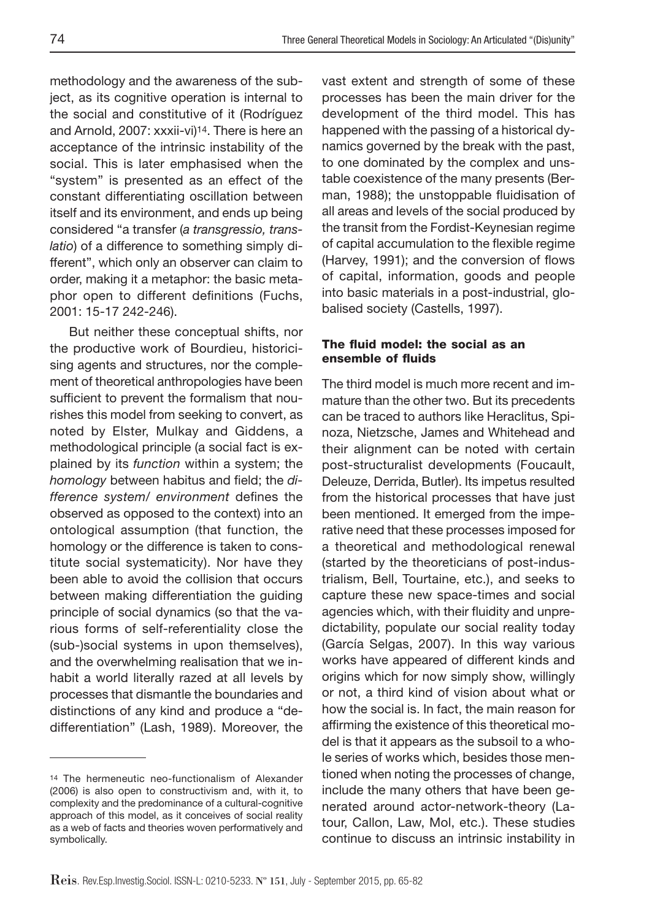methodology and the awareness of the subject, as its cognitive operation is internal to the social and constitutive of it (Rodríguez and Arnold, 2007: xxxii-vi)14. There is here an acceptance of the intrinsic instability of the social. This is later emphasised when the "system" is presented as an effect of the constant differentiating oscillation between itself and its environment, and ends up being considered "a transfer (a transgressio, translatio) of a difference to something simply different", which only an observer can claim to order, making it a metaphor: the basic metaphor open to different definitions (Fuchs, 2001: 15-17 242-246).

But neither these conceptual shifts, nor the productive work of Bourdieu, historicising agents and structures, nor the complement of theoretical anthropologies have been sufficient to prevent the formalism that nourishes this model from seeking to convert, as noted by Elster, Mulkay and Giddens, a methodological principle (a social fact is explained by its function within a system; the homology between habitus and field; the difference system/ environment defines the observed as opposed to the context) into an ontological assumption (that function, the homology or the difference is taken to constitute social systematicity). Nor have they been able to avoid the collision that occurs between making differentiation the guiding principle of social dynamics (so that the various forms of self-referentiality close the (sub-)social systems in upon themselves), and the overwhelming realisation that we inhabit a world literally razed at all levels by processes that dismantle the boundaries and distinctions of any kind and produce a "dedifferentiation" (Lash, 1989). Moreover, the

vast extent and strength of some of these processes has been the main driver for the development of the third model. This has happened with the passing of a historical dynamics governed by the break with the past, to one dominated by the complex and unstable coexistence of the many presents (Berman, 1988); the unstoppable fluidisation of all areas and levels of the social produced by the transit from the Fordist-Keynesian regime of capital accumulation to the flexible regime (Harvey, 1991); and the conversion of flows of capital, information, goods and people into basic materials in a post-industrial, globalised society (Castells, 1997).

#### **The fl uid model: the social as an ensemble of fluids**

The third model is much more recent and immature than the other two. But its precedents can be traced to authors like Heraclitus, Spinoza, Nietzsche, James and Whitehead and their alignment can be noted with certain post-structuralist developments (Foucault, Deleuze, Derrida, Butler). Its impetus resulted from the historical processes that have just been mentioned. It emerged from the imperative need that these processes imposed for a theoretical and methodological renewal (started by the theoreticians of post-industrialism, Bell, Tourtaine, etc.), and seeks to capture these new space-times and social agencies which, with their fluidity and unpredictability, populate our social reality today (García Selgas, 2007). In this way various works have appeared of different kinds and origins which for now simply show, willingly or not, a third kind of vision about what or how the social is. In fact, the main reason for affirming the existence of this theoretical model is that it appears as the subsoil to a whole series of works which, besides those mentioned when noting the processes of change, include the many others that have been generated around actor-network-theory (Latour, Callon, Law, Mol, etc.). These studies continue to discuss an intrinsic instability in

<sup>14</sup> The hermeneutic neo-functionalism of Alexander (2006) is also open to constructivism and, with it, to complexity and the predominance of a cultural-cognitive approach of this model, as it conceives of social reality as a web of facts and theories woven performatively and symbolically.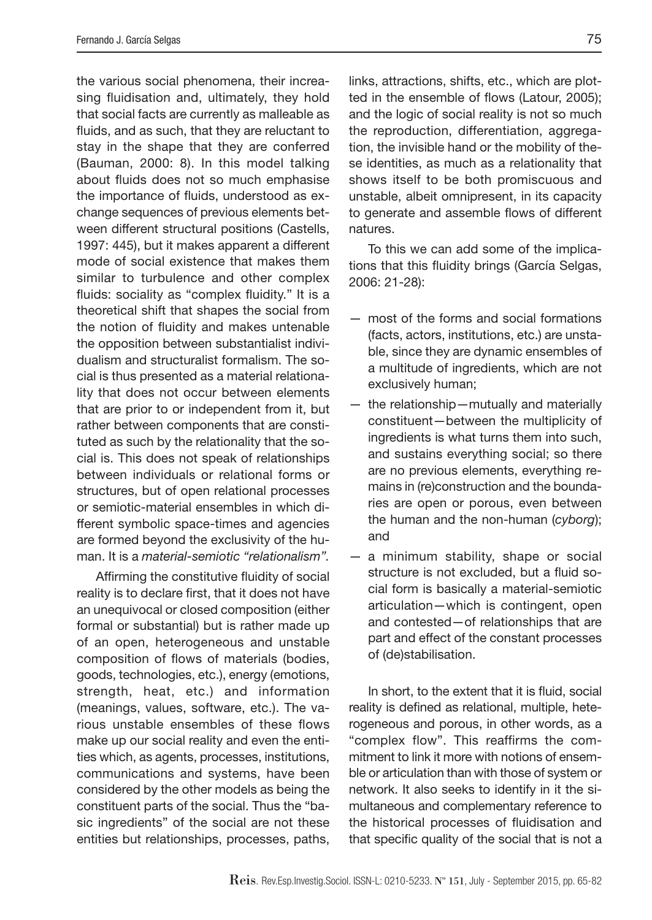the various social phenomena, their increasing fluidisation and, ultimately, they hold that social facts are currently as malleable as fluids, and as such, that they are reluctant to stay in the shape that they are conferred (Bauman, 2000: 8). In this model talking about fluids does not so much emphasise the importance of fluids, understood as exchange sequences of previous elements between different structural positions (Castells, 1997: 445), but it makes apparent a different mode of social existence that makes them similar to turbulence and other complex fluids: sociality as "complex fluidity." It is a theoretical shift that shapes the social from the notion of fluidity and makes untenable the opposition between substantialist individualism and structuralist formalism. The social is thus presented as a material relationality that does not occur between elements that are prior to or independent from it, but rather between components that are constituted as such by the relationality that the social is. This does not speak of relationships between individuals or relational forms or structures, but of open relational processes or semiotic-material ensembles in which different symbolic space-times and agencies are formed beyond the exclusivity of the human. It is a material-semiotic "relationalism".

Affirming the constitutive fluidity of social reality is to declare first, that it does not have an unequivocal or closed composition (either formal or substantial) but is rather made up of an open, heterogeneous and unstable composition of flows of materials (bodies, goods, technologies, etc.), energy (emotions, strength, heat, etc.) and information (meanings, values, software, etc.). The various unstable ensembles of these flows make up our social reality and even the entities which, as agents, processes, institutions, communications and systems, have been considered by the other models as being the constituent parts of the social. Thus the "basic ingredients" of the social are not these entities but relationships, processes, paths,

links, attractions, shifts, etc., which are plotted in the ensemble of flows (Latour, 2005); and the logic of social reality is not so much the reproduction, differentiation, aggregation, the invisible hand or the mobility of these identities, as much as a relationality that shows itself to be both promiscuous and unstable, albeit omnipresent, in its capacity to generate and assemble flows of different natures.

To this we can add some of the implications that this fluidity brings (García Selgas, 2006: 21-28):

- most of the forms and social formations (facts, actors, institutions, etc.) are unstable, since they are dynamic ensembles of a multitude of ingredients, which are not exclusively human;
- the relationship—mutually and materially constituent—between the multiplicity of ingredients is what turns them into such, and sustains everything social; so there are no previous elements, everything remains in (re)construction and the boundaries are open or porous, even between the human and the non-human (cyborg); and
- a minimum stability, shape or social structure is not excluded, but a fluid social form is basically a material-semiotic articulation—which is contingent, open and contested—of relationships that are part and effect of the constant processes of (de)stabilisation.

In short, to the extent that it is fluid, social reality is defined as relational, multiple, heterogeneous and porous, in other words, as a "complex flow". This reaffirms the commitment to link it more with notions of ensemble or articulation than with those of system or network. It also seeks to identify in it the simultaneous and complementary reference to the historical processes of fluidisation and that specific quality of the social that is not a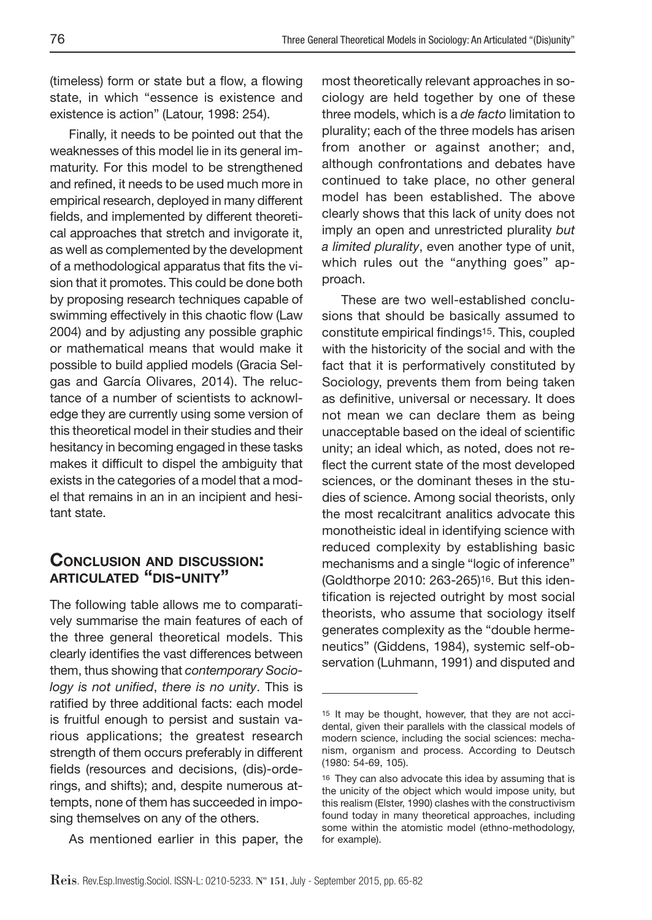(timeless) form or state but a flow, a flowing state, in which "essence is existence and existence is action" (Latour, 1998: 254).

Finally, it needs to be pointed out that the weaknesses of this model lie in its general immaturity. For this model to be strengthened and refined, it needs to be used much more in empirical research, deployed in many different fields, and implemented by different theoretical approaches that stretch and invigorate it, as well as complemented by the development of a methodological apparatus that fits the vision that it promotes. This could be done both by proposing research techniques capable of swimming effectively in this chaotic flow (Law 2004) and by adjusting any possible graphic or mathematical means that would make it possible to build applied models (Gracia Selgas and García Olivares, 2014). The reluctance of a number of scientists to acknowledge they are currently using some version of this theoretical model in their studies and their hesitancy in becoming engaged in these tasks makes it difficult to dispel the ambiguity that exists in the categories of a model that a model that remains in an in an incipient and hesitant state.

#### **CONCLUSION AND DISCUSSION: ARTICULATED "DIS-UNITY"**

The following table allows me to comparatively summarise the main features of each of the three general theoretical models. This clearly identifies the vast differences between them, thus showing that contemporary Sociology is not unified, there is no unity. This is ratified by three additional facts: each model is fruitful enough to persist and sustain various applications; the greatest research strength of them occurs preferably in different fields (resources and decisions, (dis)-orderings, and shifts); and, despite numerous attempts, none of them has succeeded in imposing themselves on any of the others.

As mentioned earlier in this paper, the

most theoretically relevant approaches in sociology are held together by one of these three models, which is a de facto limitation to plurality; each of the three models has arisen from another or against another; and, although confrontations and debates have continued to take place, no other general model has been established. The above clearly shows that this lack of unity does not imply an open and unrestricted plurality but a limited plurality, even another type of unit, which rules out the "anything goes" approach.

These are two well-established conclusions that should be basically assumed to constitute empirical findings<sup>15</sup>. This, coupled with the historicity of the social and with the fact that it is performatively constituted by Sociology, prevents them from being taken as definitive, universal or necessary. It does not mean we can declare them as being unacceptable based on the ideal of scientific unity; an ideal which, as noted, does not reflect the current state of the most developed sciences, or the dominant theses in the studies of science. Among social theorists, only the most recalcitrant analitics advocate this monotheistic ideal in identifying science with reduced complexity by establishing basic mechanisms and a single "logic of inference" (Goldthorpe 2010: 263-265)16. But this identification is rejected outright by most social theorists, who assume that sociology itself generates complexity as the "double hermeneutics" (Giddens, 1984), systemic self-observation (Luhmann, 1991) and disputed and

<sup>15</sup> It may be thought, however, that they are not accidental, given their parallels with the classical models of modern science, including the social sciences: mechanism, organism and process. According to Deutsch (1980: 54-69, 105).

<sup>16</sup> They can also advocate this idea by assuming that is the unicity of the object which would impose unity, but this realism (Elster, 1990) clashes with the constructivism found today in many theoretical approaches, including some within the atomistic model (ethno-methodology, for example).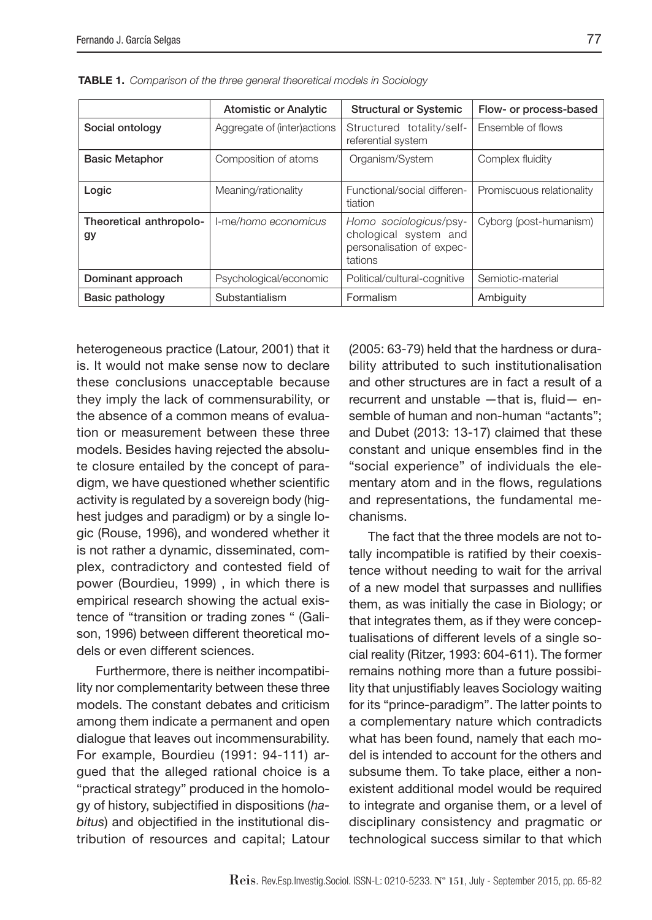|                               | <b>Atomistic or Analytic</b> | <b>Structural or Systemic</b>                                                           | Flow- or process-based    |
|-------------------------------|------------------------------|-----------------------------------------------------------------------------------------|---------------------------|
| Social ontology               | Aggregate of (inter) actions | Structured totality/self-<br>referential system                                         | Ensemble of flows         |
| <b>Basic Metaphor</b>         | Composition of atoms         | Organism/System                                                                         | Complex fluidity          |
| Logic                         | Meaning/rationality          | Functional/social differen-<br>tiation                                                  | Promiscuous relationality |
| Theoretical anthropolo-<br>gy | I-me/homo economicus         | Homo sociologicus/psy-<br>chological system and<br>personalisation of expec-<br>tations | Cyborg (post-humanism)    |
| Dominant approach             | Psychological/economic       | Political/cultural-cognitive                                                            | Semiotic-material         |
| Basic pathology               | Substantialism               | Formalism                                                                               | Ambiguity                 |

**TABLE 1.** Comparison of the three general theoretical models in Sociology

heterogeneous practice (Latour, 2001) that it is. It would not make sense now to declare these conclusions unacceptable because they imply the lack of commensurability, or the absence of a common means of evaluation or measurement between these three models. Besides having rejected the absolute closure entailed by the concept of paradigm, we have questioned whether scientific activity is regulated by a sovereign body (highest judges and paradigm) or by a single logic (Rouse, 1996), and wondered whether it is not rather a dynamic, disseminated, complex, contradictory and contested field of power (Bourdieu, 1999) , in which there is empirical research showing the actual existence of "transition or trading zones " (Galison, 1996) between different theoretical models or even different sciences.

Furthermore, there is neither incompatibility nor complementarity between these three models. The constant debates and criticism among them indicate a permanent and open dialogue that leaves out incommensurability. For example, Bourdieu (1991: 94-111) argued that the alleged rational choice is a "practical strategy" produced in the homology of history, subjectified in dispositions (habitus) and objectified in the institutional distribution of resources and capital; Latour

(2005: 63-79) held that the hardness or durability attributed to such institutionalisation and other structures are in fact a result of a recurrent and unstable  $-$ that is, fluid  $-$  ensemble of human and non-human "actants"; and Dubet (2013: 13-17) claimed that these constant and unique ensembles find in the "social experience" of individuals the elementary atom and in the flows, regulations and representations, the fundamental mechanisms.

The fact that the three models are not totally incompatible is ratified by their coexistence without needing to wait for the arrival of a new model that surpasses and nullifies them, as was initially the case in Biology; or that integrates them, as if they were conceptualisations of different levels of a single social reality (Ritzer, 1993: 604-611). The former remains nothing more than a future possibility that unjustifiably leaves Sociology waiting for its "prince-paradigm". The latter points to a complementary nature which contradicts what has been found, namely that each model is intended to account for the others and subsume them. To take place, either a nonexistent additional model would be required to integrate and organise them, or a level of disciplinary consistency and pragmatic or technological success similar to that which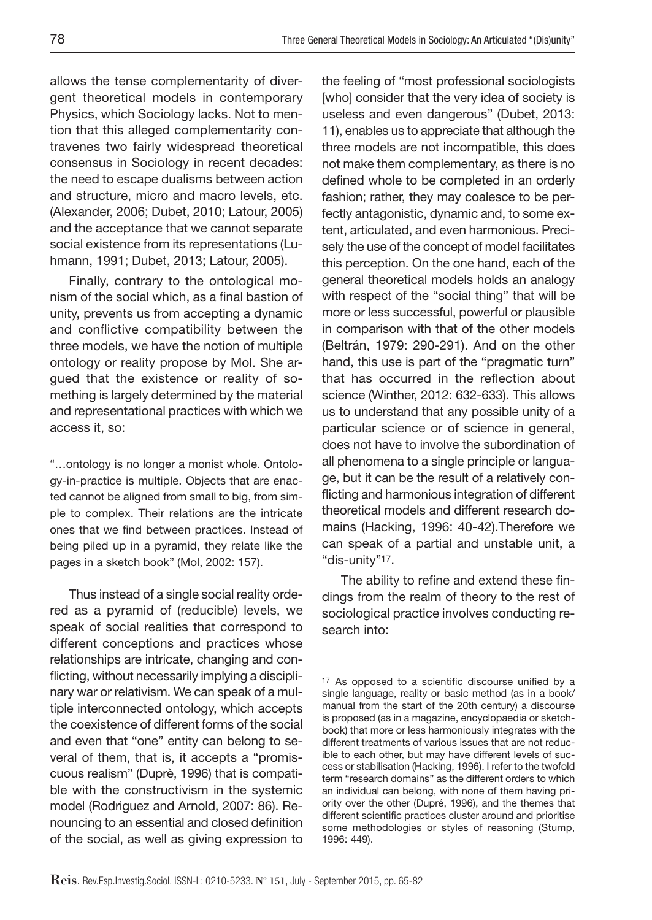allows the tense complementarity of divergent theoretical models in contemporary Physics, which Sociology lacks. Not to mention that this alleged complementarity contravenes two fairly widespread theoretical consensus in Sociology in recent decades: the need to escape dualisms between action and structure, micro and macro levels, etc. (Alexander, 2006; Dubet, 2010; Latour, 2005) and the acceptance that we cannot separate social existence from its representations (Luhmann, 1991; Dubet, 2013; Latour, 2005).

Finally, contrary to the ontological monism of the social which, as a final bastion of unity, prevents us from accepting a dynamic and conflictive compatibility between the three models, we have the notion of multiple ontology or reality propose by Mol. She argued that the existence or reality of something is largely determined by the material and representational practices with which we access it, so:

"…ontology is no longer a monist whole. Ontology-in-practice is multiple. Objects that are enacted cannot be aligned from small to big, from simple to complex. Their relations are the intricate ones that we find between practices. Instead of being piled up in a pyramid, they relate like the pages in a sketch book" (Mol, 2002: 157).

Thus instead of a single social reality ordered as a pyramid of (reducible) levels, we speak of social realities that correspond to different conceptions and practices whose relationships are intricate, changing and conflicting, without necessarily implying a disciplinary war or relativism. We can speak of a multiple interconnected ontology, which accepts the coexistence of different forms of the social and even that "one" entity can belong to several of them, that is, it accepts a "promiscuous realism" (Duprè, 1996) that is compatible with the constructivism in the systemic model (Rodriguez and Arnold, 2007: 86). Renouncing to an essential and closed definition of the social, as well as giving expression to

the feeling of "most professional sociologists [who] consider that the very idea of society is useless and even dangerous" (Dubet, 2013: 11), enables us to appreciate that although the three models are not incompatible, this does not make them complementary, as there is no defined whole to be completed in an orderly fashion; rather, they may coalesce to be perfectly antagonistic, dynamic and, to some extent, articulated, and even harmonious. Precisely the use of the concept of model facilitates this perception. On the one hand, each of the general theoretical models holds an analogy with respect of the "social thing" that will be more or less successful, powerful or plausible in comparison with that of the other models (Beltrán, 1979: 290-291). And on the other hand, this use is part of the "pragmatic turn" that has occurred in the reflection about science (Winther, 2012: 632-633). This allows us to understand that any possible unity of a particular science or of science in general, does not have to involve the subordination of all phenomena to a single principle or language, but it can be the result of a relatively conflicting and harmonious integration of different theoretical models and different research domains (Hacking, 1996: 40-42).Therefore we can speak of a partial and unstable unit, a "dis-unity"17.

The ability to refine and extend these findings from the realm of theory to the rest of sociological practice involves conducting research into:

<sup>&</sup>lt;sup>17</sup> As opposed to a scientific discourse unified by a single language, reality or basic method (as in a book/ manual from the start of the 20th century) a discourse is proposed (as in a magazine, encyclopaedia or sketchbook) that more or less harmoniously integrates with the different treatments of various issues that are not reducible to each other, but may have different levels of success or stabilisation (Hacking, 1996). I refer to the twofold term "research domains" as the different orders to which an individual can belong, with none of them having priority over the other (Dupré, 1996), and the themes that different scientific practices cluster around and prioritise some methodologies or styles of reasoning (Stump, 1996: 449).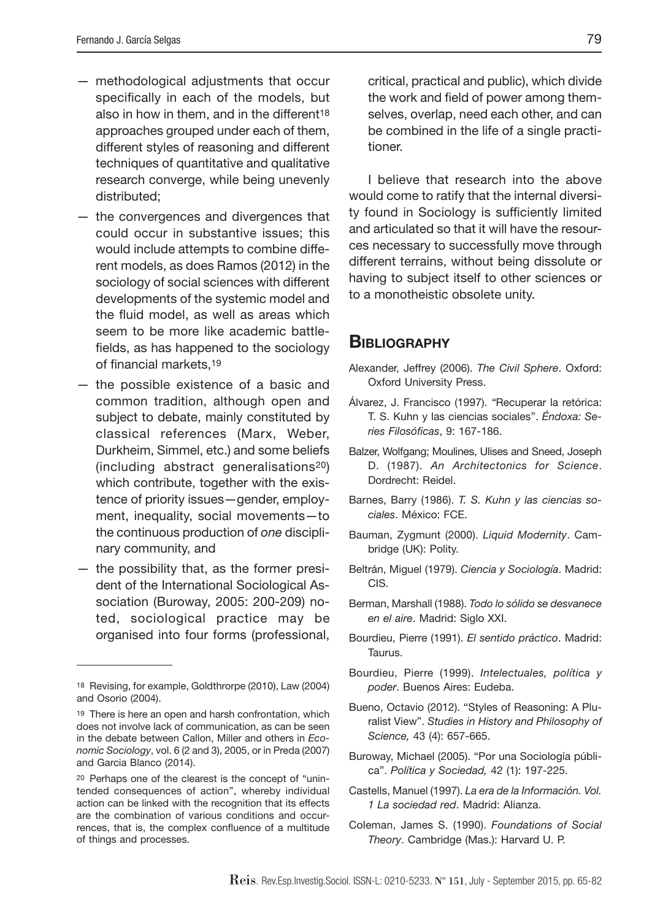- methodological adjustments that occur specifically in each of the models, but also in how in them, and in the different<sup>18</sup> approaches grouped under each of them, different styles of reasoning and different techniques of quantitative and qualitative research converge, while being unevenly distributed;
- the convergences and divergences that could occur in substantive issues; this would include attempts to combine different models, as does Ramos (2012) in the sociology of social sciences with different developments of the systemic model and the fluid model, as well as areas which seem to be more like academic battlefields, as has happened to the sociology of financial markets.<sup>19</sup>
- the possible existence of a basic and common tradition, although open and subject to debate, mainly constituted by classical references (Marx, Weber, Durkheim, Simmel, etc.) and some beliefs (including abstract generalisations20) which contribute, together with the existence of priority issues—gender, employment, inequality, social movements—to the continuous production of one disciplinary community, and
- the possibility that, as the former president of the International Sociological Association (Buroway, 2005: 200-209) noted, sociological practice may be organised into four forms (professional,

critical, practical and public), which divide the work and field of power among themselves, overlap, need each other, and can be combined in the life of a single practitioner.

I believe that research into the above would come to ratify that the internal diversity found in Sociology is sufficiently limited and articulated so that it will have the resources necessary to successfully move through different terrains, without being dissolute or having to subject itself to other sciences or to a monotheistic obsolete unity.

#### **BIBLIOGRAPHY**

- Alexander, Jeffrey (2006). The Civil Sphere. Oxford: Oxford University Press.
- Álvarez, J. Francisco (1997). "Recuperar la retórica: T. S. Kuhn y las ciencias sociales". Éndoxa: Series Filosóficas, 9: 167-186.
- Balzer, Wolfgang; Moulines, Ulises and Sneed, Joseph D. (1987). An Architectonics for Science. Dordrecht: Reidel.
- Barnes, Barry (1986). T. S. Kuhn y las ciencias sociales. México: FCE.
- Bauman, Zygmunt (2000). Liquid Modernity. Cambridge (UK): Polity.
- Beltrán, Miguel (1979). Ciencia y Sociología. Madrid: CIS.
- Berman, Marshall (1988). Todo lo sólido se desvanece en el aire. Madrid: Siglo XXI.
- Bourdieu, Pierre (1991). El sentido práctico. Madrid: Taurus.
- Bourdieu, Pierre (1999). Intelectuales, política y poder. Buenos Aires: Eudeba.
- Bueno, Octavio (2012). "Styles of Reasoning: A Pluralist View". Studies in History and Philosophy of Science, 43 (4): 657-665.
- Buroway, Michael (2005). "Por una Sociología pública". Política y Sociedad, 42 (1): 197-225.
- Castells, Manuel (1997). La era de la Información. Vol. 1 La sociedad red. Madrid: Alianza.
- Coleman, James S. (1990). Foundations of Social Theory. Cambridge (Mas.): Harvard U. P.

<sup>18</sup> Revising, for example, Goldthrorpe (2010), Law (2004) and Osorio (2004).

<sup>19</sup> There is here an open and harsh confrontation, which does not involve lack of communication, as can be seen in the debate between Callon, Miller and others in Economic Sociology, vol. 6 (2 and 3), 2005, or in Preda (2007) and Garcia Blanco (2014).

<sup>20</sup> Perhaps one of the clearest is the concept of "unintended consequences of action", whereby individual action can be linked with the recognition that its effects are the combination of various conditions and occurrences, that is, the complex confluence of a multitude of things and processes.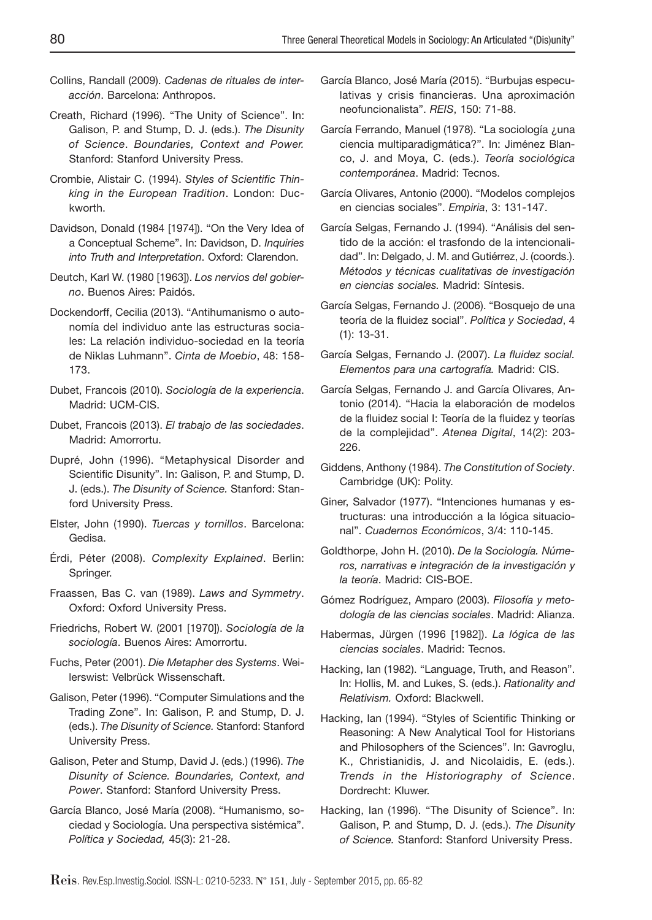- Collins, Randall (2009). Cadenas de rituales de interacción. Barcelona: Anthropos.
- Creath, Richard (1996). "The Unity of Science". In: Galison, P. and Stump, D. J. (eds.). The Disunity of Science. Boundaries, Context and Power. Stanford: Stanford University Press.
- Crombie, Alistair C. (1994). Styles of Scientific Thinking in the European Tradition. London: Duckworth.
- Davidson, Donald (1984 [1974]). "On the Very Idea of a Conceptual Scheme". In: Davidson, D. Inquiries into Truth and Interpretation. Oxford: Clarendon.
- Deutch, Karl W. (1980 [1963]). Los nervios del gobierno. Buenos Aires: Paidós.
- Dockendorff, Cecilia (2013). "Antihumanismo o autonomía del individuo ante las estructuras sociales: La relación individuo-sociedad en la teoría de Niklas Luhmann". Cinta de Moebio, 48: 158- 173.
- Dubet, Francois (2010). Sociología de la experiencia. Madrid: UCM-CIS.
- Dubet, Francois (2013). El trabajo de las sociedades. Madrid: Amorrortu.
- Dupré, John (1996). "Metaphysical Disorder and Scientific Disunity". In: Galison, P. and Stump, D. J. (eds.). The Disunity of Science. Stanford: Stanford University Press.
- Elster, John (1990). Tuercas y tornillos. Barcelona: Gedisa.
- Érdi, Péter (2008). Complexity Explained. Berlin: Springer.
- Fraassen, Bas C. van (1989). Laws and Symmetry. Oxford: Oxford University Press.
- Friedrichs, Robert W. (2001 [1970]). Sociología de la sociología. Buenos Aires: Amorrortu.
- Fuchs, Peter (2001). Die Metapher des Systems. Weilerswist: Velbrück Wissenschaft.
- Galison, Peter (1996). "Computer Simulations and the Trading Zone". In: Galison, P. and Stump, D. J. (eds.). The Disunity of Science. Stanford: Stanford University Press.
- Galison, Peter and Stump, David J. (eds.) (1996). The Disunity of Science. Boundaries, Context, and Power. Stanford: Stanford University Press.
- García Blanco, José María (2008). "Humanismo, sociedad y Sociología. Una perspectiva sistémica". Política y Sociedad, 45(3): 21-28.
- García Blanco, José María (2015). "Burbujas especulativas y crisis financieras. Una aproximación neofuncionalista". REIS, 150: 71-88.
- García Ferrando, Manuel (1978). "La sociología ¿una ciencia multiparadigmática?". In: Jiménez Blanco, J. and Moya, C. (eds.). Teoría sociológica contemporánea. Madrid: Tecnos.
- García Olivares, Antonio (2000). "Modelos complejos en ciencias sociales". Empiria, 3: 131-147.
- García Selgas, Fernando J. (1994). "Análisis del sentido de la acción: el trasfondo de la intencionalidad". In: Delgado, J. M. and Gutiérrez, J. (coords.). Métodos y técnicas cualitativas de investigación en ciencias sociales. Madrid: Síntesis.
- García Selgas, Fernando J. (2006). "Bosquejo de una teoría de la fluidez social". Política y Sociedad, 4 (1): 13-31.
- García Selgas, Fernando J. (2007). La fluidez social. Elementos para una cartografía. Madrid: CIS.
- García Selgas, Fernando J. and García Olivares, Antonio (2014). "Hacia la elaboración de modelos de la fluidez social I: Teoría de la fluidez y teorías de la complejidad". Atenea Digital, 14(2): 203- 226.
- Giddens, Anthony (1984). The Constitution of Society. Cambridge (UK): Polity.
- Giner, Salvador (1977). "Intenciones humanas y estructuras: una introducción a la lógica situacional". Cuadernos Económicos, 3/4: 110-145.
- Goldthorpe, John H. (2010). De la Sociología. Números, narrativas e integración de la investigación y la teoría. Madrid: CIS-BOE.
- Gómez Rodríguez, Amparo (2003). Filosofía y metodología de las ciencias sociales. Madrid: Alianza.
- Habermas, Jürgen (1996 [1982]). La lógica de las ciencias sociales. Madrid: Tecnos.
- Hacking, Ian (1982). "Language, Truth, and Reason". In: Hollis, M. and Lukes, S. (eds.). Rationality and Relativism. Oxford: Blackwell.
- Hacking, Ian (1994). "Styles of Scientific Thinking or Reasoning: A New Analytical Tool for Historians and Philosophers of the Sciences". In: Gavroglu, K., Christianidis, J. and Nicolaidis, E. (eds.). Trends in the Historiography of Science. Dordrecht: Kluwer.
- Hacking, Ian (1996). "The Disunity of Science". In: Galison, P. and Stump, D. J. (eds.). The Disunity of Science. Stanford: Stanford University Press.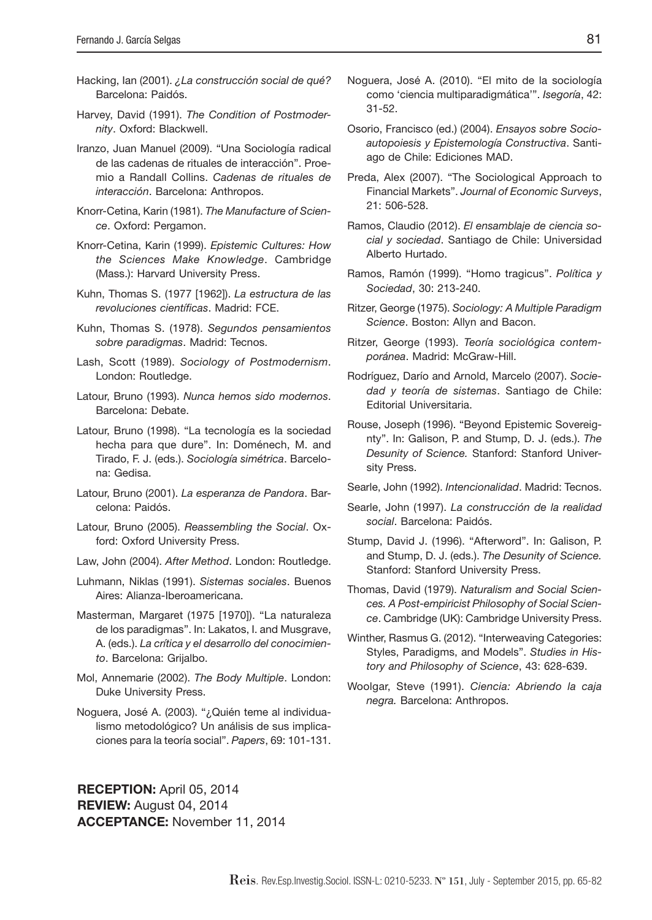- Hacking, Ian (2001). ¿La construcción social de qué? Barcelona: Paidós.
- Harvey, David (1991). The Condition of Postmodernity. Oxford: Blackwell.
- Iranzo, Juan Manuel (2009). "Una Sociología radical de las cadenas de rituales de interacción". Proemio a Randall Collins. Cadenas de rituales de interacción. Barcelona: Anthropos.
- Knorr-Cetina, Karin (1981). The Manufacture of Science. Oxford: Pergamon.
- Knorr-Cetina, Karin (1999). Epistemic Cultures: How the Sciences Make Knowledge. Cambridge (Mass.): Harvard University Press.
- Kuhn, Thomas S. (1977 [1962]). La estructura de las revoluciones científicas. Madrid: FCE.
- Kuhn, Thomas S. (1978). Segundos pensamientos sobre paradigmas. Madrid: Tecnos.
- Lash, Scott (1989). Sociology of Postmodernism. London: Routledge.
- Latour, Bruno (1993). Nunca hemos sido modernos. Barcelona: Debate.
- Latour, Bruno (1998). "La tecnología es la sociedad hecha para que dure". In: Doménech, M. and Tirado, F. J. (eds.). Sociología simétrica. Barcelona: Gedisa.
- Latour, Bruno (2001). La esperanza de Pandora. Barcelona: Paidós.
- Latour, Bruno (2005). Reassembling the Social. Oxford: Oxford University Press.
- Law, John (2004). After Method. London: Routledge.
- Luhmann, Niklas (1991). Sistemas sociales. Buenos Aires: Alianza-Iberoamericana.
- Masterman, Margaret (1975 [1970]). "La naturaleza de los paradigmas". In: Lakatos, I. and Musgrave, A. (eds.). La crítica y el desarrollo del conocimiento. Barcelona: Grijalbo.
- Mol, Annemarie (2002). The Body Multiple. London: Duke University Press.
- Noguera, José A. (2003). "¿Quién teme al individualismo metodológico? Un análisis de sus implicaciones para la teoría social". Papers, 69: 101-131.

**RECEPTION:** April 05, 2014 **REVIEW:** August 04, 2014 **ACCEPTANCE:** November 11, 2014

- Noguera, José A. (2010). "El mito de la sociología como 'ciencia multiparadigmática'". Isegoría, 42: 31-52.
- Osorio, Francisco (ed.) (2004). Ensayos sobre Socioautopoiesis y Epistemología Constructiva. Santiago de Chile: Ediciones MAD.
- Preda, Alex (2007). "The Sociological Approach to Financial Markets". Journal of Economic Surveys, 21: 506-528.
- Ramos, Claudio (2012). El ensamblaje de ciencia social y sociedad. Santiago de Chile: Universidad Alberto Hurtado.
- Ramos, Ramón (1999). "Homo tragicus". Política y Sociedad, 30: 213-240.
- Ritzer, George (1975). Sociology: A Multiple Paradigm Science. Boston: Allyn and Bacon.
- Ritzer, George (1993). Teoría sociológica contemporánea. Madrid: McGraw-Hill.
- Rodríguez, Darío and Arnold, Marcelo (2007). Sociedad y teoría de sistemas. Santiago de Chile: Editorial Universitaria.
- Rouse, Joseph (1996). "Beyond Epistemic Sovereignty". In: Galison, P. and Stump, D. J. (eds.). The Desunity of Science. Stanford: Stanford University Press.
- Searle, John (1992). Intencionalidad. Madrid: Tecnos.
- Searle, John (1997). La construcción de la realidad social. Barcelona: Paidós.
- Stump, David J. (1996). "Afterword". In: Galison, P. and Stump, D. J. (eds.). The Desunity of Science. Stanford: Stanford University Press.
- Thomas, David (1979). Naturalism and Social Sciences. A Post-empiricist Philosophy of Social Science. Cambridge (UK): Cambridge University Press.
- Winther, Rasmus G. (2012). "Interweaving Categories: Styles, Paradigms, and Models". Studies in History and Philosophy of Science, 43: 628-639.
- Woolgar, Steve (1991). Ciencia: Abriendo la caja negra. Barcelona: Anthropos.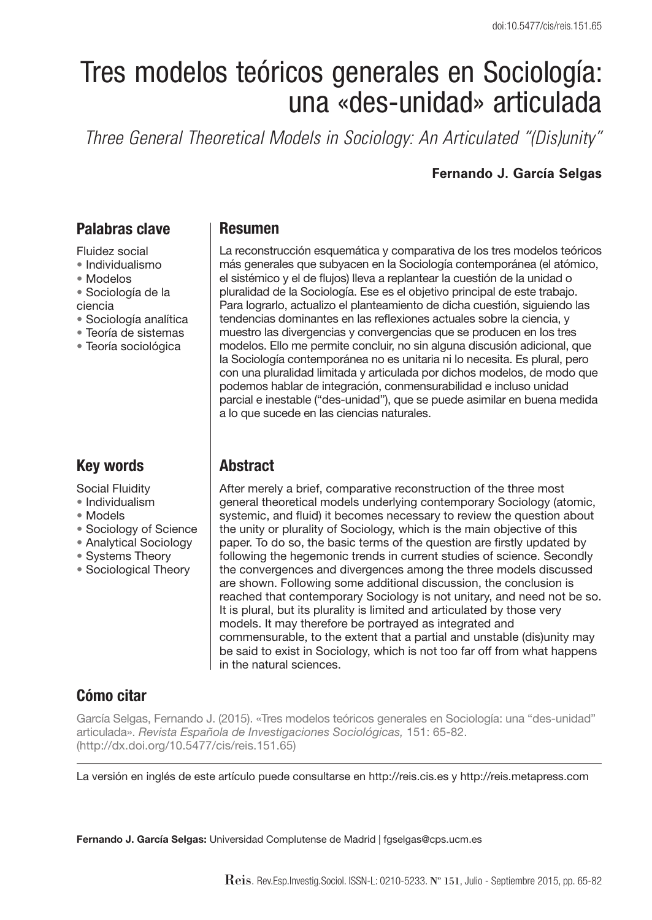# Tres modelos teóricos generales en Sociología: una «des-unidad» articulada

*Three General Theoretical Models in Sociology: An Articulated "(Dis)unity"*

#### **Fernando J. García Selgas**

## **Palabras clave**

Fluidez social

- Individualismo
- Modelos
- Sociología de la ciencia
- Sociología analítica
- Teoría de sistemas
- Teoría sociológica

## **Key words**

Social Fluidity

- Individualism
- Models
- Sociology of Science
- Analytical Sociology
- Systems Theory
- Sociological Theory

#### **Resumen**

La reconstrucción esquemática y comparativa de los tres modelos teóricos más generales que subyacen en la Sociología contemporánea (el atómico, el sistémico y el de flujos) lleva a replantear la cuestión de la unidad o pluralidad de la Sociología. Ese es el objetivo principal de este trabajo. Para lograrlo, actualizo el planteamiento de dicha cuestión, siguiendo las tendencias dominantes en las reflexiones actuales sobre la ciencia, y muestro las divergencias y convergencias que se producen en los tres modelos. Ello me permite concluir, no sin alguna discusión adicional, que la Sociología contemporánea no es unitaria ni lo necesita. Es plural, pero con una pluralidad limitada y articulada por dichos modelos, de modo que podemos hablar de integración, conmensurabilidad e incluso unidad parcial e inestable ("des-unidad"), que se puede asimilar en buena medida a lo que sucede en las ciencias naturales.

## **Abstract**

After merely a brief, comparative reconstruction of the three most general theoretical models underlying contemporary Sociology (atomic, systemic, and fluid) it becomes necessary to review the question about the unity or plurality of Sociology, which is the main objective of this paper. To do so, the basic terms of the question are firstly updated by following the hegemonic trends in current studies of science. Secondly the convergences and divergences among the three models discussed are shown. Following some additional discussion, the conclusion is reached that contemporary Sociology is not unitary, and need not be so. It is plural, but its plurality is limited and articulated by those very models. It may therefore be portrayed as integrated and commensurable, to the extent that a partial and unstable (dis)unity may be said to exist in Sociology, which is not too far off from what happens in the natural sciences.

## **Cómo citar**

García Selgas, Fernando J. (2015). «Tres modelos teóricos generales en Sociología: una "des-unidad" articulada». Revista Española de Investigaciones Sociológicas, 151: 65-82. (http://dx.doi.org/10.5477/cis/reis.151.65)

La versión en inglés de este artículo puede consultarse en http://reis.cis.es y http://reis.metapress.com

**Fernando J. García Selgas:** Universidad Complutense de Madrid | fgselgas@cps.ucm.es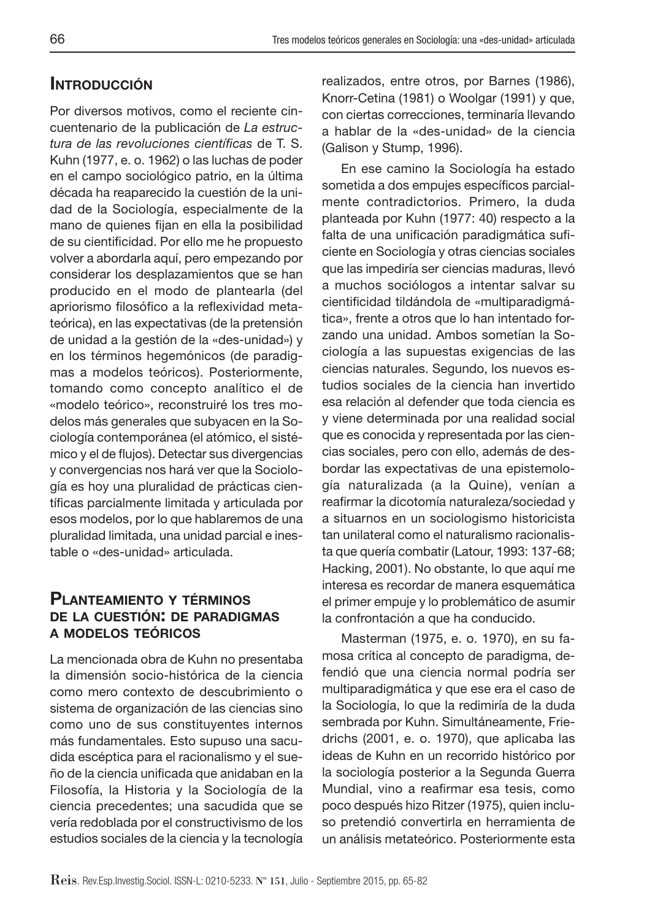# **INTRODUCCIÓN**

Por diversos motivos, como el reciente cincuentenario de la publicación de La estructura de las revoluciones científicas de T. S. Kuhn (1977, e. o. 1962) o las luchas de poder en el campo sociológico patrio, en la última década ha reaparecido la cuestión de la unidad de la Sociología, especialmente de la mano de quienes fijan en ella la posibilidad de su cientificidad. Por ello me he propuesto volver a abordarla aquí, pero empezando por considerar los desplazamientos que se han producido en el modo de plantearla (del apriorismo filosófico a la reflexividad metateórica), en las expectativas (de la pretensión de unidad a la gestión de la «des-unidad») y en los términos hegemónicos (de paradigmas a modelos teóricos). Posteriormente, tomando como concepto analítico el de «modelo teórico», reconstruiré los tres modelos más generales que subyacen en la Sociología contemporánea (el atómico, el sistémico y el de flujos). Detectar sus divergencias y convergencias nos hará ver que la Sociología es hoy una pluralidad de prácticas científicas parcialmente limitada y articulada por esos modelos, por lo que hablaremos de una pluralidad limitada, una unidad parcial e inestable o «des-unidad» articulada.

### **PLANTEAMIENTO <sup>Y</sup> TÉRMINOS DE LA CUESTIÓN: DE PARADIGMAS A MODELOS TEÓRICOS**

La mencionada obra de Kuhn no presentaba la dimensión socio-histórica de la ciencia como mero contexto de descubrimiento o sistema de organización de las ciencias sino como uno de sus constituyentes internos más fundamentales. Esto supuso una sacudida escéptica para el racionalismo y el sueño de la ciencia unificada que anidaban en la Filosofía, la Historia y la Sociología de la ciencia precedentes; una sacudida que se vería redoblada por el constructivismo de los estudios sociales de la ciencia y la tecnología realizados, entre otros, por Barnes (1986), Knorr-Cetina (1981) o Woolgar (1991) y que, con ciertas correcciones, terminaría llevando a hablar de la «des-unidad» de la ciencia (Galison y Stump, 1996).

En ese camino la Sociología ha estado sometida a dos empujes específicos parcialmente contradictorios. Primero, la duda planteada por Kuhn (1977: 40) respecto a la falta de una unificación paradigmática suficiente en Sociología y otras ciencias sociales que las impediría ser ciencias maduras, llevó a muchos sociólogos a intentar salvar su cientificidad tildándola de «multiparadigmática», frente a otros que lo han intentado forzando una unidad. Ambos sometían la Sociología a las supuestas exigencias de las ciencias naturales. Segundo, los nuevos estudios sociales de la ciencia han invertido esa relación al defender que toda ciencia es y viene determinada por una realidad social que es conocida y representada por las ciencias sociales, pero con ello, además de desbordar las expectativas de una epistemología naturalizada (a la Quine), venían a reafirmar la dicotomía naturaleza/sociedad y a situarnos en un sociologismo historicista tan unilateral como el naturalismo racionalista que quería combatir (Latour, 1993: 137-68; Hacking, 2001). No obstante, lo que aquí me interesa es recordar de manera esquemática el primer empuje y lo problemático de asumir la confrontación a que ha conducido.

Masterman (1975, e. o. 1970), en su famosa crítica al concepto de paradigma, defendió que una ciencia normal podría ser multiparadigmática y que ese era el caso de la Sociología, lo que la redimiría de la duda sembrada por Kuhn. Simultáneamente, Friedrichs (2001, e. o. 1970), que aplicaba las ideas de Kuhn en un recorrido histórico por la sociología posterior a la Segunda Guerra Mundial, vino a reafirmar esa tesis, como poco después hizo Ritzer (1975), quien incluso pretendió convertirla en herramienta de un análisis metateórico. Posteriormente esta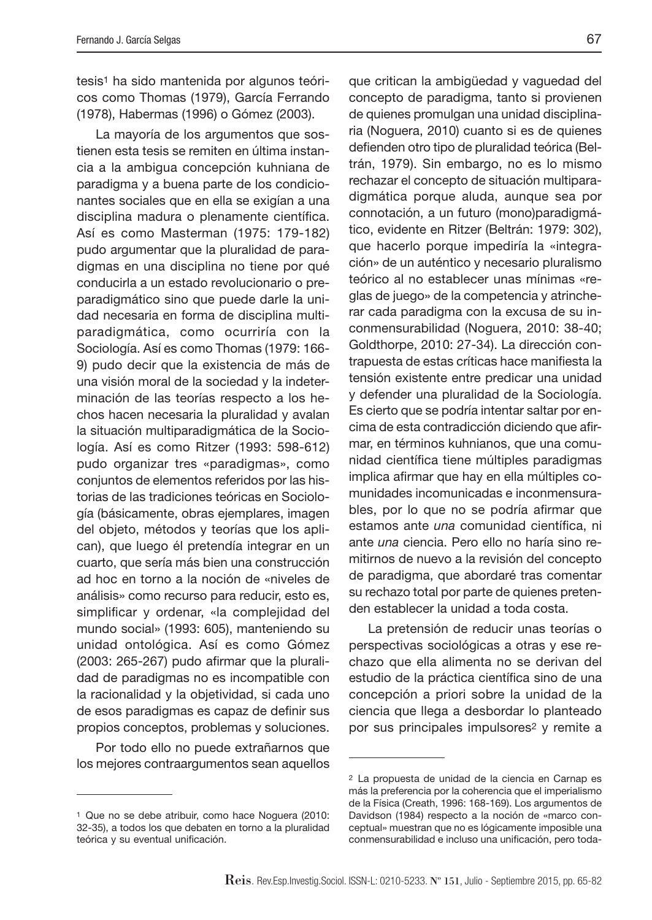tesis1 ha sido mantenida por algunos teóricos como Thomas (1979), García Ferrando (1978), Habermas (1996) o Gómez (2003).

La mayoría de los argumentos que sostienen esta tesis se remiten en última instancia a la ambigua concepción kuhniana de paradigma y a buena parte de los condicionantes sociales que en ella se exigían a una disciplina madura o plenamente científica. Así es como Masterman (1975: 179-182) pudo argumentar que la pluralidad de paradigmas en una disciplina no tiene por qué conducirla a un estado revolucionario o preparadigmático sino que puede darle la unidad necesaria en forma de disciplina multiparadigmática, como ocurriría con la Sociología. Así es como Thomas (1979: 166- 9) pudo decir que la existencia de más de una visión moral de la sociedad y la indeterminación de las teorías respecto a los hechos hacen necesaria la pluralidad y avalan la situación multiparadigmática de la Sociología. Así es como Ritzer (1993: 598-612) pudo organizar tres «paradigmas», como conjuntos de elementos referidos por las historias de las tradiciones teóricas en Sociología (básicamente, obras ejemplares, imagen del objeto, métodos y teorías que los aplican), que luego él pretendía integrar en un cuarto, que sería más bien una construcción ad hoc en torno a la noción de «niveles de análisis» como recurso para reducir, esto es, simplificar y ordenar, «la complejidad del mundo social» (1993: 605), manteniendo su unidad ontológica. Así es como Gómez (2003: 265-267) pudo afirmar que la pluralidad de paradigmas no es incompatible con la racionalidad y la objetividad, si cada uno de esos paradigmas es capaz de definir sus propios conceptos, problemas y soluciones.

Por todo ello no puede extrañarnos que los mejores contraargumentos sean aquellos que critican la ambigüedad y vaguedad del concepto de paradigma, tanto si provienen de quienes promulgan una unidad disciplinaria (Noguera, 2010) cuanto si es de quienes defienden otro tipo de pluralidad teórica (Beltrán, 1979). Sin embargo, no es lo mismo rechazar el concepto de situación multiparadigmática porque aluda, aunque sea por connotación, a un futuro (mono)paradigmático, evidente en Ritzer (Beltrán: 1979: 302), que hacerlo porque impediría la «integración» de un auténtico y necesario pluralismo teórico al no establecer unas mínimas «reglas de juego» de la competencia y atrincherar cada paradigma con la excusa de su inconmensurabilidad (Noguera, 2010: 38-40; Goldthorpe, 2010: 27-34). La dirección contrapuesta de estas críticas hace manifiesta la tensión existente entre predicar una unidad y defender una pluralidad de la Sociología. Es cierto que se podría intentar saltar por encima de esta contradicción diciendo que afirmar, en términos kuhnianos, que una comunidad científica tiene múltiples paradigmas implica afirmar que hay en ella múltiples comunidades incomunicadas e inconmensurables, por lo que no se podría afirmar que estamos ante una comunidad científica, ni ante una ciencia. Pero ello no haría sino remitirnos de nuevo a la revisión del concepto de paradigma, que abordaré tras comentar su rechazo total por parte de quienes pretenden establecer la unidad a toda costa.

La pretensión de reducir unas teorías o perspectivas sociológicas a otras y ese rechazo que ella alimenta no se derivan del estudio de la práctica científica sino de una concepción a priori sobre la unidad de la ciencia que llega a desbordar lo planteado por sus principales impulsores<sup>2</sup> y remite a

<sup>1</sup> Que no se debe atribuir, como hace Noguera (2010: 32-35), a todos los que debaten en torno a la pluralidad teórica y su eventual unificación.

<sup>2</sup> La propuesta de unidad de la ciencia en Carnap es más la preferencia por la coherencia que el imperialismo de la Física (Creath, 1996: 168-169). Los argumentos de Davidson (1984) respecto a la noción de «marco conceptual» muestran que no es lógicamente imposible una conmensurabilidad e incluso una unificación, pero toda-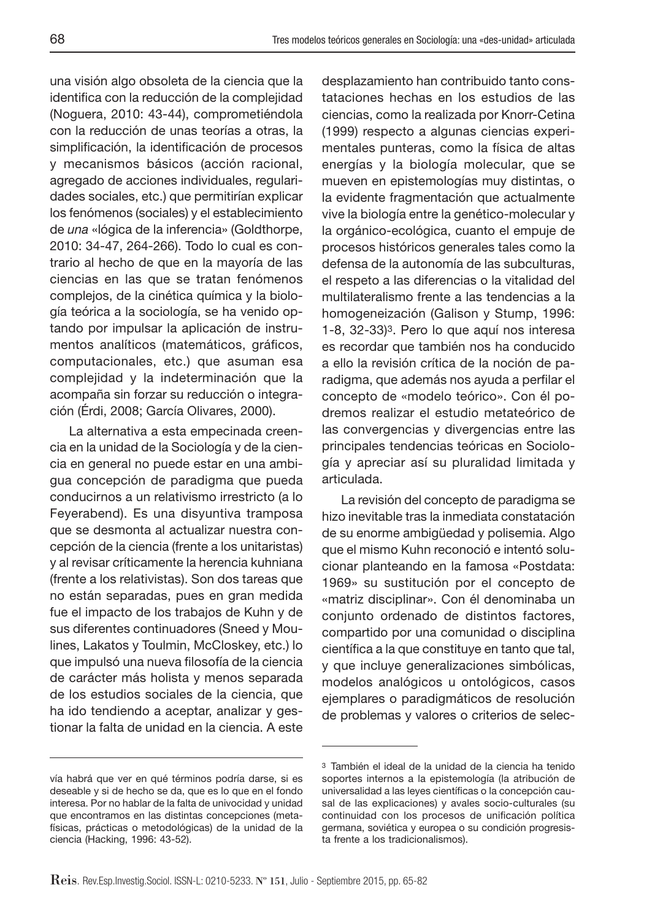una visión algo obsoleta de la ciencia que la identifica con la reducción de la complejidad (Noguera, 2010: 43-44), comprometiéndola con la reducción de unas teorías a otras, la simplificación, la identificación de procesos y mecanismos básicos (acción racional, agregado de acciones individuales, regularidades sociales, etc.) que permitirían explicar los fenómenos (sociales) y el establecimiento de una «lógica de la inferencia» (Goldthorpe, 2010: 34-47, 264-266). Todo lo cual es contrario al hecho de que en la mayoría de las ciencias en las que se tratan fenómenos complejos, de la cinética química y la biología teórica a la sociología, se ha venido optando por impulsar la aplicación de instrumentos analíticos (matemáticos, gráficos, computacionales, etc.) que asuman esa complejidad y la indeterminación que la

ción (Érdi, 2008; García Olivares, 2000). La alternativa a esta empecinada creencia en la unidad de la Sociología y de la ciencia en general no puede estar en una ambigua concepción de paradigma que pueda conducirnos a un relativismo irrestricto (a lo Feyerabend). Es una disyuntiva tramposa que se desmonta al actualizar nuestra concepción de la ciencia (frente a los unitaristas) y al revisar críticamente la herencia kuhniana (frente a los relativistas). Son dos tareas que no están separadas, pues en gran medida fue el impacto de los trabajos de Kuhn y de sus diferentes continuadores (Sneed y Moulines, Lakatos y Toulmin, McCloskey, etc.) lo que impulsó una nueva filosofía de la ciencia de carácter más holista y menos separada de los estudios sociales de la ciencia, que ha ido tendiendo a aceptar, analizar y gestionar la falta de unidad en la ciencia. A este

acompaña sin forzar su reducción o integra-

desplazamiento han contribuido tanto constataciones hechas en los estudios de las ciencias, como la realizada por Knorr-Cetina (1999) respecto a algunas ciencias experimentales punteras, como la física de altas energías y la biología molecular, que se mueven en epistemologías muy distintas, o la evidente fragmentación que actualmente vive la biología entre la genético-molecular y la orgánico-ecológica, cuanto el empuje de procesos históricos generales tales como la defensa de la autonomía de las subculturas, el respeto a las diferencias o la vitalidad del multilateralismo frente a las tendencias a la homogeneización (Galison y Stump, 1996: 1-8, 32-33)3. Pero lo que aquí nos interesa es recordar que también nos ha conducido a ello la revisión crítica de la noción de paradigma, que además nos ayuda a perfilar el concepto de «modelo teórico». Con él podremos realizar el estudio metateórico de las convergencias y divergencias entre las principales tendencias teóricas en Sociología y apreciar así su pluralidad limitada y articulada.

La revisión del concepto de paradigma se hizo inevitable tras la inmediata constatación de su enorme ambigüedad y polisemia. Algo que el mismo Kuhn reconoció e intentó solucionar planteando en la famosa «Postdata: 1969» su sustitución por el concepto de «matriz disciplinar». Con él denominaba un conjunto ordenado de distintos factores, compartido por una comunidad o disciplina científica a la que constituye en tanto que tal, y que incluye generalizaciones simbólicas, modelos analógicos u ontológicos, casos ejemplares o paradigmáticos de resolución de problemas y valores o criterios de selec-

vía habrá que ver en qué términos podría darse, si es deseable y si de hecho se da, que es lo que en el fondo interesa. Por no hablar de la falta de univocidad y unidad que encontramos en las distintas concepciones (metafísicas, prácticas o metodológicas) de la unidad de la ciencia (Hacking, 1996: 43-52).

<sup>3</sup> También el ideal de la unidad de la ciencia ha tenido soportes internos a la epistemología (la atribución de universalidad a las leyes científicas o la concepción causal de las explicaciones) y avales socio-culturales (su continuidad con los procesos de unificación política germana, soviética y europea o su condición progresista frente a los tradicionalismos).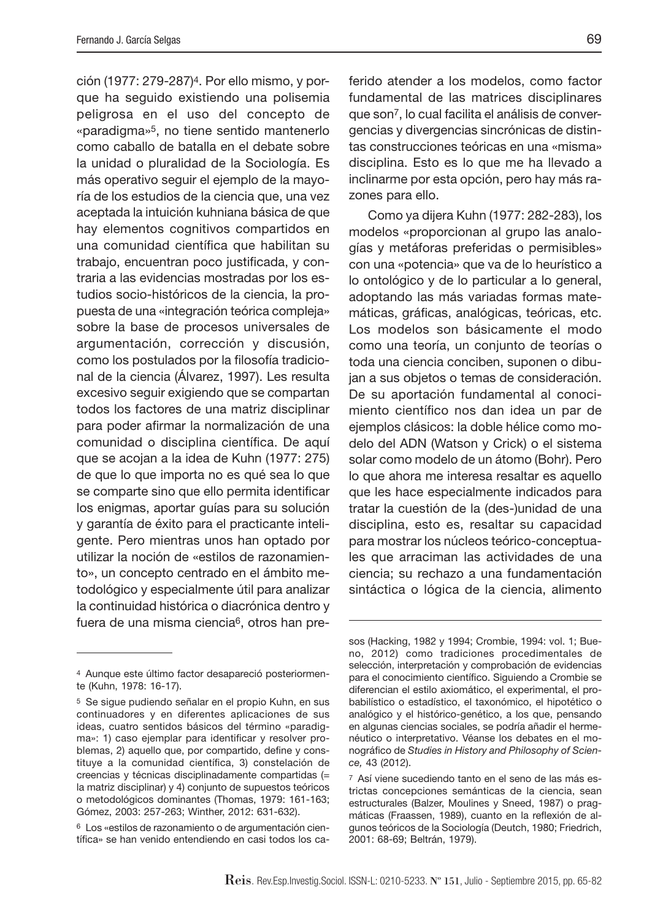ción (1977: 279-287)4. Por ello mismo, y porque ha seguido existiendo una polisemia peligrosa en el uso del concepto de «paradigma»5, no tiene sentido mantenerlo como caballo de batalla en el debate sobre la unidad o pluralidad de la Sociología. Es más operativo seguir el ejemplo de la mayoría de los estudios de la ciencia que, una vez aceptada la intuición kuhniana básica de que hay elementos cognitivos compartidos en una comunidad científica que habilitan su trabajo, encuentran poco justificada, y contraria a las evidencias mostradas por los estudios socio-históricos de la ciencia, la propuesta de una «integración teórica compleja» sobre la base de procesos universales de argumentación, corrección y discusión, como los postulados por la filosofía tradicional de la ciencia (Álvarez, 1997). Les resulta excesivo seguir exigiendo que se compartan todos los factores de una matriz disciplinar para poder afirmar la normalización de una comunidad o disciplina científica. De aquí que se acojan a la idea de Kuhn (1977: 275) de que lo que importa no es qué sea lo que se comparte sino que ello permita identificar los enigmas, aportar guías para su solución y garantía de éxito para el practicante inteligente. Pero mientras unos han optado por utilizar la noción de «estilos de razonamiento», un concepto centrado en el ámbito metodológico y especialmente útil para analizar la continuidad histórica o diacrónica dentro y fuera de una misma ciencia6, otros han preferido atender a los modelos, como factor fundamental de las matrices disciplinares que son7, lo cual facilita el análisis de convergencias y divergencias sincrónicas de distintas construcciones teóricas en una «misma» disciplina. Esto es lo que me ha llevado a inclinarme por esta opción, pero hay más razones para ello.

Como ya dijera Kuhn (1977: 282-283), los modelos «proporcionan al grupo las analogías y metáforas preferidas o permisibles» con una «potencia» que va de lo heurístico a lo ontológico y de lo particular a lo general, adoptando las más variadas formas matemáticas, gráficas, analógicas, teóricas, etc. Los modelos son básicamente el modo como una teoría, un conjunto de teorías o toda una ciencia conciben, suponen o dibujan a sus objetos o temas de consideración. De su aportación fundamental al conocimiento científico nos dan idea un par de ejemplos clásicos: la doble hélice como modelo del ADN (Watson y Crick) o el sistema solar como modelo de un átomo (Bohr). Pero lo que ahora me interesa resaltar es aquello que les hace especialmente indicados para tratar la cuestión de la (des-)unidad de una disciplina, esto es, resaltar su capacidad para mostrar los núcleos teórico-conceptuales que arraciman las actividades de una ciencia; su rechazo a una fundamentación sintáctica o lógica de la ciencia, alimento

<sup>4</sup> Aunque este último factor desapareció posteriormente (Kuhn, 1978: 16-17).

<sup>5</sup> Se sigue pudiendo señalar en el propio Kuhn, en sus continuadores y en diferentes aplicaciones de sus ideas, cuatro sentidos básicos del término «paradigma»: 1) caso ejemplar para identificar y resolver problemas, 2) aquello que, por compartido, define y constituye a la comunidad científica, 3) constelación de creencias y técnicas disciplinadamente compartidas (= la matriz disciplinar) y 4) conjunto de supuestos teóricos o metodológicos dominantes (Thomas, 1979: 161-163; Gómez, 2003: 257-263; Winther, 2012: 631-632).

<sup>6</sup> Los «estilos de razonamiento o de argumentación científica» se han venido entendiendo en casi todos los ca-

sos (Hacking, 1982 y 1994; Crombie, 1994: vol. 1; Bueno, 2012) como tradiciones procedimentales de selección, interpretación y comprobación de evidencias para el conocimiento científico. Siguiendo a Crombie se diferencian el estilo axiomático, el experimental, el probabilístico o estadístico, el taxonómico, el hipotético o analógico y el histórico-genético, a los que, pensando en algunas ciencias sociales, se podría añadir el hermenéutico o interpretativo. Véanse los debates en el monográfico de Studies in History and Philosophy of Science, 43 (2012).

<sup>7</sup> Así viene sucediendo tanto en el seno de las más estrictas concepciones semánticas de la ciencia, sean estructurales (Balzer, Moulines y Sneed, 1987) o pragmáticas (Fraassen, 1989), cuanto en la reflexión de algunos teóricos de la Sociología (Deutch, 1980; Friedrich, 2001: 68-69; Beltrán, 1979).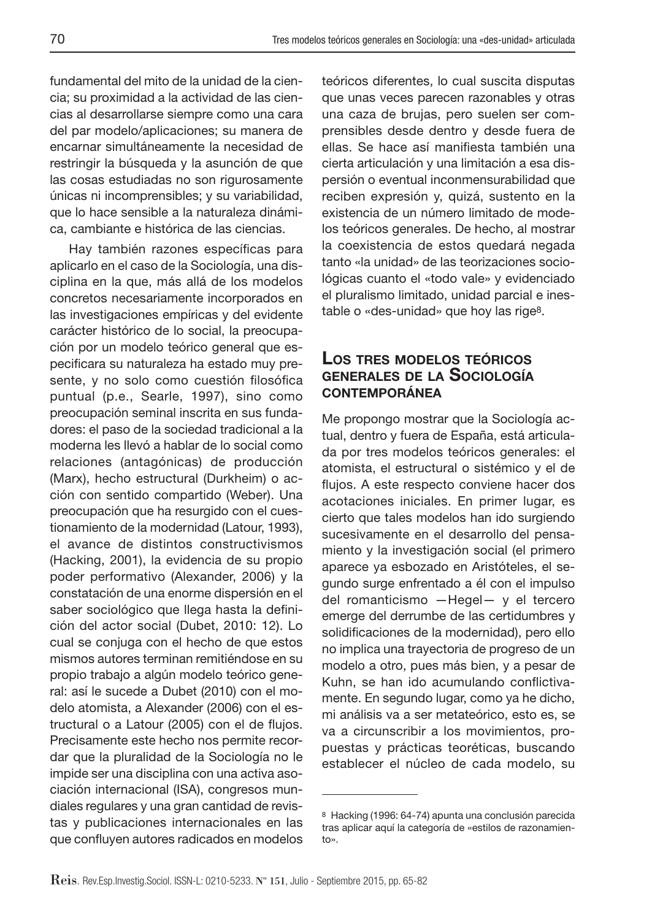fundamental del mito de la unidad de la ciencia; su proximidad a la actividad de las ciencias al desarrollarse siempre como una cara del par modelo/aplicaciones; su manera de encarnar simultáneamente la necesidad de restringir la búsqueda y la asunción de que las cosas estudiadas no son rigurosamente únicas ni incomprensibles; y su variabilidad, que lo hace sensible a la naturaleza dinámica, cambiante e histórica de las ciencias.

Hay también razones específicas para aplicarlo en el caso de la Sociología, una disciplina en la que, más allá de los modelos concretos necesariamente incorporados en las investigaciones empíricas y del evidente carácter histórico de lo social, la preocupación por un modelo teórico general que especificara su naturaleza ha estado muy presente, y no solo como cuestión filosófica puntual (p.e., Searle, 1997), sino como preocupación seminal inscrita en sus fundadores: el paso de la sociedad tradicional a la moderna les llevó a hablar de lo social como relaciones (antagónicas) de producción (Marx), hecho estructural (Durkheim) o acción con sentido compartido (Weber). Una preocupación que ha resurgido con el cuestionamiento de la modernidad (Latour, 1993), el avance de distintos constructivismos (Hacking, 2001), la evidencia de su propio poder performativo (Alexander, 2006) y la constatación de una enorme dispersión en el saber sociológico que llega hasta la definición del actor social (Dubet, 2010: 12). Lo cual se conjuga con el hecho de que estos mismos autores terminan remitiéndose en su propio trabajo a algún modelo teórico general: así le sucede a Dubet (2010) con el modelo atomista, a Alexander (2006) con el estructural o a Latour (2005) con el de flujos. Precisamente este hecho nos permite recordar que la pluralidad de la Sociología no le impide ser una disciplina con una activa asociación internacional (ISA), congresos mundiales regulares y una gran cantidad de revistas y publicaciones internacionales en las que confluyen autores radicados en modelos

teóricos diferentes, lo cual suscita disputas que unas veces parecen razonables y otras una caza de brujas, pero suelen ser comprensibles desde dentro y desde fuera de ellas. Se hace así manifiesta también una cierta articulación y una limitación a esa dispersión o eventual inconmensurabilidad que reciben expresión y, quizá, sustento en la existencia de un número limitado de modelos teóricos generales. De hecho, al mostrar la coexistencia de estos quedará negada tanto «la unidad» de las teorizaciones sociológicas cuanto el «todo vale» y evidenciado el pluralismo limitado, unidad parcial e inestable o «des-unidad» que hoy las rige8.

#### **LOS TRES MODELOS TEÓRICOS GENERALES DE LA SOCIOLOGÍA CONTEMPORÁNEA**

Me propongo mostrar que la Sociología actual, dentro y fuera de España, está articulada por tres modelos teóricos generales: el atomista, el estructural o sistémico y el de flujos. A este respecto conviene hacer dos acotaciones iniciales. En primer lugar, es cierto que tales modelos han ido surgiendo sucesivamente en el desarrollo del pensamiento y la investigación social (el primero aparece ya esbozado en Aristóteles, el segundo surge enfrentado a él con el impulso del romanticismo —Hegel— y el tercero emerge del derrumbe de las certidumbres y solidificaciones de la modernidad), pero ello no implica una trayectoria de progreso de un modelo a otro, pues más bien, y a pesar de Kuhn, se han ido acumulando conflictivamente. En segundo lugar, como ya he dicho, mi análisis va a ser metateórico, esto es, se va a circunscribir a los movimientos, propuestas y prácticas teoréticas, buscando establecer el núcleo de cada modelo, su

<sup>8</sup> Hacking (1996: 64-74) apunta una conclusión parecida tras aplicar aquí la categoría de «estilos de razonamiento».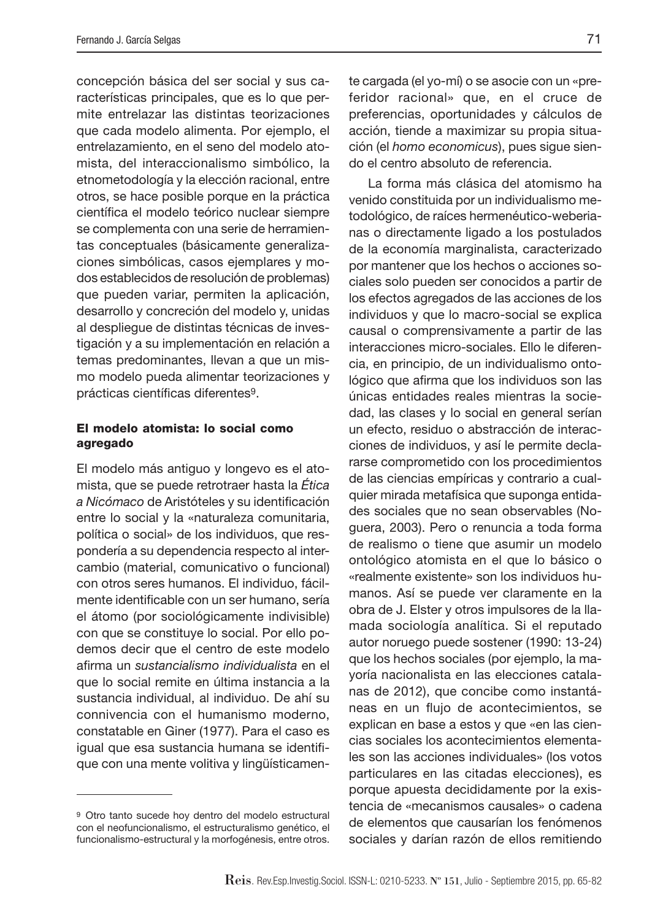concepción básica del ser social y sus características principales, que es lo que permite entrelazar las distintas teorizaciones que cada modelo alimenta. Por ejemplo, el entrelazamiento, en el seno del modelo atomista, del interaccionalismo simbólico, la etnometodología y la elección racional, entre otros, se hace posible porque en la práctica científica el modelo teórico nuclear siempre se complementa con una serie de herramientas conceptuales (básicamente generalizaciones simbólicas, casos ejemplares y modos establecidos de resolución de problemas) que pueden variar, permiten la aplicación, desarrollo y concreción del modelo y, unidas al despliegue de distintas técnicas de investigación y a su implementación en relación a temas predominantes, llevan a que un mismo modelo pueda alimentar teorizaciones y prácticas científicas diferentes<sup>9</sup>.

#### **El modelo atomista: lo social como agregado**

El modelo más antiguo y longevo es el atomista, que se puede retrotraer hasta la Ética a Nicómaco de Aristóteles y su identificación entre lo social y la «naturaleza comunitaria, política o social» de los individuos, que respondería a su dependencia respecto al intercambio (material, comunicativo o funcional) con otros seres humanos. El individuo, fácilmente identificable con un ser humano, sería el átomo (por sociológicamente indivisible) con que se constituye lo social. Por ello podemos decir que el centro de este modelo afirma un sustancialismo individualista en el que lo social remite en última instancia a la sustancia individual, al individuo. De ahí su connivencia con el humanismo moderno, constatable en Giner (1977). Para el caso es igual que esa sustancia humana se identifique con una mente volitiva y lingüísticamente cargada (el yo-mí) o se asocie con un «preferidor racional» que, en el cruce de preferencias, oportunidades y cálculos de acción, tiende a maximizar su propia situación (el homo economicus), pues sigue siendo el centro absoluto de referencia.

La forma más clásica del atomismo ha venido constituida por un individualismo metodológico, de raíces hermenéutico-weberianas o directamente ligado a los postulados de la economía marginalista, caracterizado por mantener que los hechos o acciones sociales solo pueden ser conocidos a partir de los efectos agregados de las acciones de los individuos y que lo macro-social se explica causal o comprensivamente a partir de las interacciones micro-sociales. Ello le diferencia, en principio, de un individualismo ontológico que afirma que los individuos son las únicas entidades reales mientras la sociedad, las clases y lo social en general serían un efecto, residuo o abstracción de interacciones de individuos, y así le permite declararse comprometido con los procedimientos de las ciencias empíricas y contrario a cualquier mirada metafísica que suponga entidades sociales que no sean observables (Noguera, 2003). Pero o renuncia a toda forma de realismo o tiene que asumir un modelo ontológico atomista en el que lo básico o «realmente existente» son los individuos humanos. Así se puede ver claramente en la obra de J. Elster y otros impulsores de la llamada sociología analítica. Si el reputado autor noruego puede sostener (1990: 13-24) que los hechos sociales (por ejemplo, la mayoría nacionalista en las elecciones catalanas de 2012), que concibe como instantáneas en un flujo de acontecimientos, se explican en base a estos y que «en las ciencias sociales los acontecimientos elementales son las acciones individuales» (los votos particulares en las citadas elecciones), es porque apuesta decididamente por la existencia de «mecanismos causales» o cadena de elementos que causarían los fenómenos sociales y darían razón de ellos remitiendo

<sup>9</sup> Otro tanto sucede hoy dentro del modelo estructural con el neofuncionalismo, el estructuralismo genético, el funcionalismo-estructural y la morfogénesis, entre otros.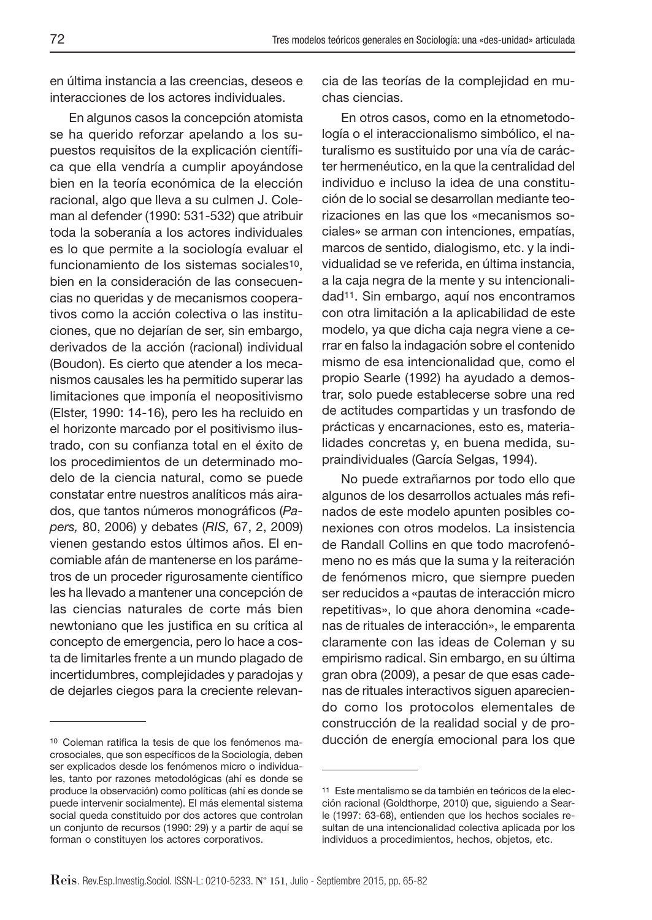en última instancia a las creencias, deseos e interacciones de los actores individuales.

En algunos casos la concepción atomista se ha querido reforzar apelando a los supuestos requisitos de la explicación científica que ella vendría a cumplir apoyándose bien en la teoría económica de la elección racional, algo que lleva a su culmen J. Coleman al defender (1990: 531-532) que atribuir toda la soberanía a los actores individuales es lo que permite a la sociología evaluar el funcionamiento de los sistemas sociales<sup>10</sup>, bien en la consideración de las consecuencias no queridas y de mecanismos cooperativos como la acción colectiva o las instituciones, que no dejarían de ser, sin embargo, derivados de la acción (racional) individual (Boudon). Es cierto que atender a los mecanismos causales les ha permitido superar las limitaciones que imponía el neopositivismo (Elster, 1990: 14-16), pero les ha recluido en el horizonte marcado por el positivismo ilustrado, con su confianza total en el éxito de los procedimientos de un determinado modelo de la ciencia natural, como se puede constatar entre nuestros analíticos más airados, que tantos números monográficos (Papers, 80, 2006) y debates (RIS, 67, 2, 2009) vienen gestando estos últimos años. El encomiable afán de mantenerse en los parámetros de un proceder rigurosamente científico les ha llevado a mantener una concepción de las ciencias naturales de corte más bien newtoniano que les justifica en su crítica al concepto de emergencia, pero lo hace a costa de limitarles frente a un mundo plagado de incertidumbres, complejidades y paradojas y de dejarles ciegos para la creciente relevancia de las teorías de la complejidad en muchas ciencias.

En otros casos, como en la etnometodología o el interaccionalismo simbólico, el naturalismo es sustituido por una vía de carácter hermenéutico, en la que la centralidad del individuo e incluso la idea de una constitución de lo social se desarrollan mediante teorizaciones en las que los «mecanismos sociales» se arman con intenciones, empatías, marcos de sentido, dialogismo, etc. y la individualidad se ve referida, en última instancia, a la caja negra de la mente y su intencionalidad11. Sin embargo, aquí nos encontramos con otra limitación a la aplicabilidad de este modelo, ya que dicha caja negra viene a cerrar en falso la indagación sobre el contenido mismo de esa intencionalidad que, como el propio Searle (1992) ha ayudado a demostrar, solo puede establecerse sobre una red de actitudes compartidas y un trasfondo de prácticas y encarnaciones, esto es, materialidades concretas y, en buena medida, supraindividuales (García Selgas, 1994).

No puede extrañarnos por todo ello que algunos de los desarrollos actuales más refinados de este modelo apunten posibles conexiones con otros modelos. La insistencia de Randall Collins en que todo macrofenómeno no es más que la suma y la reiteración de fenómenos micro, que siempre pueden ser reducidos a «pautas de interacción micro repetitivas», lo que ahora denomina «cadenas de rituales de interacción», le emparenta claramente con las ideas de Coleman y su empirismo radical. Sin embargo, en su última gran obra (2009), a pesar de que esas cadenas de rituales interactivos siguen apareciendo como los protocolos elementales de construcción de la realidad social y de producción de energía emocional para los que

<sup>10</sup> Coleman ratifica la tesis de que los fenómenos macrosociales, que son específicos de la Sociología, deben ser explicados desde los fenómenos micro o individuales, tanto por razones metodológicas (ahí es donde se produce la observación) como políticas (ahí es donde se puede intervenir socialmente). El más elemental sistema social queda constituido por dos actores que controlan un conjunto de recursos (1990: 29) y a partir de aquí se forman o constituyen los actores corporativos.

<sup>11</sup> Este mentalismo se da también en teóricos de la elección racional (Goldthorpe, 2010) que, siguiendo a Searle (1997: 63-68), entienden que los hechos sociales resultan de una intencionalidad colectiva aplicada por los individuos a procedimientos, hechos, objetos, etc.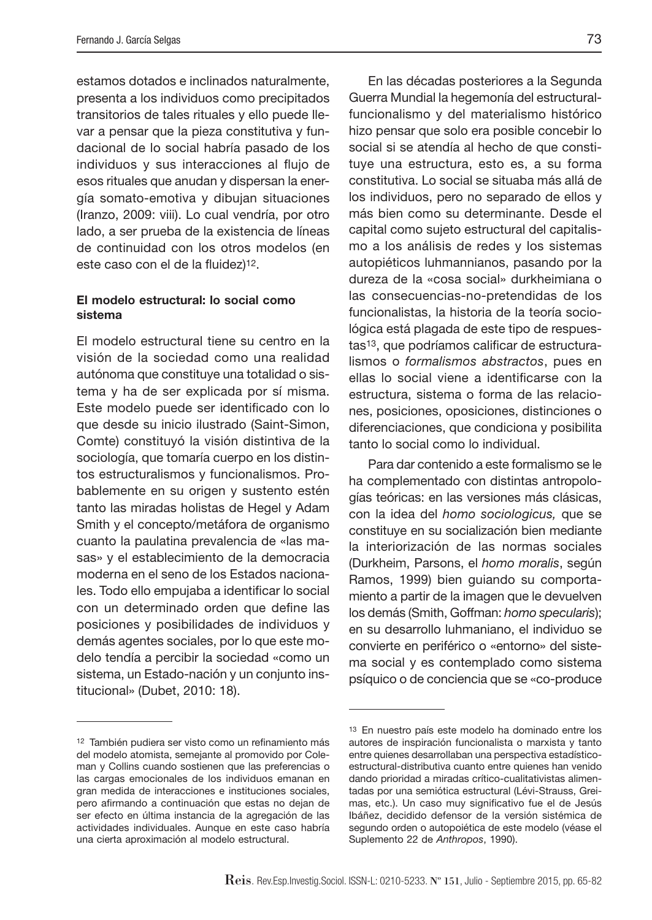estamos dotados e inclinados naturalmente, presenta a los individuos como precipitados transitorios de tales rituales y ello puede llevar a pensar que la pieza constitutiva y fundacional de lo social habría pasado de los individuos y sus interacciones al flujo de esos rituales que anudan y dispersan la energía somato-emotiva y dibujan situaciones (Iranzo, 2009: viii). Lo cual vendría, por otro lado, a ser prueba de la existencia de líneas de continuidad con los otros modelos (en este caso con el de la fluidez)<sup>12</sup>.

#### **El modelo estructural: lo social como sistema**

El modelo estructural tiene su centro en la visión de la sociedad como una realidad autónoma que constituye una totalidad o sistema y ha de ser explicada por sí misma. Este modelo puede ser identificado con lo que desde su inicio ilustrado (Saint-Simon, Comte) constituyó la visión distintiva de la sociología, que tomaría cuerpo en los distintos estructuralismos y funcionalismos. Probablemente en su origen y sustento estén tanto las miradas holistas de Hegel y Adam Smith y el concepto/metáfora de organismo cuanto la paulatina prevalencia de «las masas» y el establecimiento de la democracia moderna en el seno de los Estados nacionales. Todo ello empujaba a identificar lo social con un determinado orden que define las posiciones y posibilidades de individuos y demás agentes sociales, por lo que este modelo tendía a percibir la sociedad «como un sistema, un Estado-nación y un conjunto institucional» (Dubet, 2010: 18).

En las décadas posteriores a la Segunda Guerra Mundial la hegemonía del estructuralfuncionalismo y del materialismo histórico hizo pensar que solo era posible concebir lo social si se atendía al hecho de que constituye una estructura, esto es, a su forma constitutiva. Lo social se situaba más allá de los individuos, pero no separado de ellos y más bien como su determinante. Desde el capital como sujeto estructural del capitalismo a los análisis de redes y los sistemas autopiéticos luhmannianos, pasando por la dureza de la «cosa social» durkheimiana o las consecuencias-no-pretendidas de los funcionalistas, la historia de la teoría sociológica está plagada de este tipo de respuestas<sup>13</sup>, que podríamos calificar de estructuralismos o formalismos abstractos, pues en ellas lo social viene a identificarse con la estructura, sistema o forma de las relaciones, posiciones, oposiciones, distinciones o diferenciaciones, que condiciona y posibilita tanto lo social como lo individual.

Para dar contenido a este formalismo se le ha complementado con distintas antropologías teóricas: en las versiones más clásicas, con la idea del homo sociologicus, que se constituye en su socialización bien mediante la interiorización de las normas sociales (Durkheim, Parsons, el homo moralis, según Ramos, 1999) bien guiando su comportamiento a partir de la imagen que le devuelven los demás (Smith, Goffman: homo specularis); en su desarrollo luhmaniano, el individuo se convierte en periférico o «entorno» del sistema social y es contemplado como sistema psíquico o de conciencia que se «co-produce

<sup>12</sup> También pudiera ser visto como un refinamiento más del modelo atomista, semejante al promovido por Coleman y Collins cuando sostienen que las preferencias o las cargas emocionales de los individuos emanan en gran medida de interacciones e instituciones sociales, pero afirmando a continuación que estas no dejan de ser efecto en última instancia de la agregación de las actividades individuales. Aunque en este caso habría una cierta aproximación al modelo estructural.

<sup>13</sup> En nuestro país este modelo ha dominado entre los autores de inspiración funcionalista o marxista y tanto entre quienes desarrollaban una perspectiva estadísticoestructural-distributiva cuanto entre quienes han venido dando prioridad a miradas crítico-cualitativistas alimentadas por una semiótica estructural (Lévi-Strauss, Greimas, etc.). Un caso muy significativo fue el de Jesús Ibáñez, decidido defensor de la versión sistémica de segundo orden o autopoiética de este modelo (véase el Suplemento 22 de Anthropos, 1990).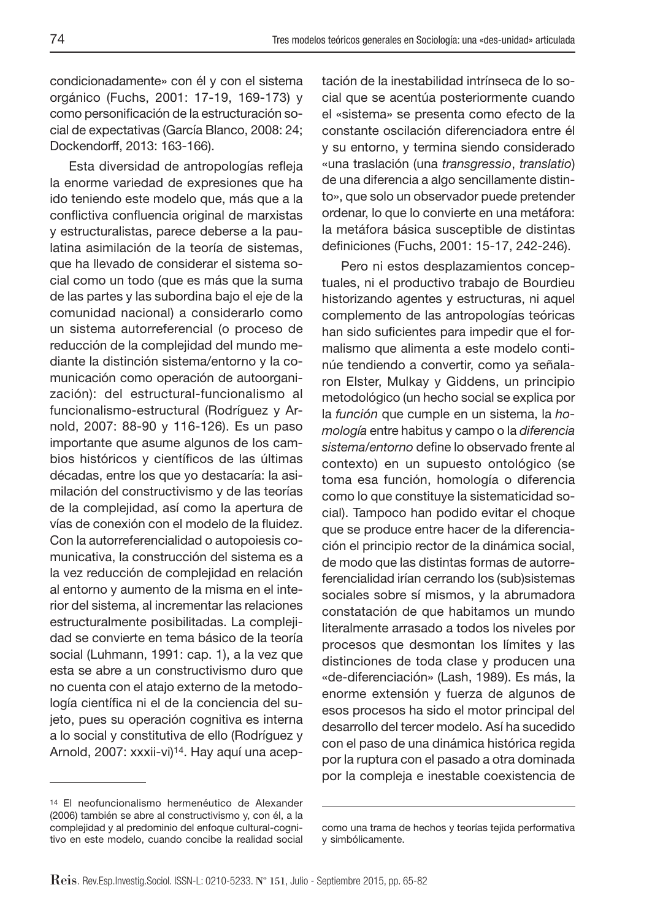condicionadamente» con él y con el sistema orgánico (Fuchs, 2001: 17-19, 169-173) y como personificación de la estructuración social de expectativas (García Blanco, 2008: 24; Dockendorff, 2013: 163-166).

Esta diversidad de antropologías refleja la enorme variedad de expresiones que ha ido teniendo este modelo que, más que a la conflictiva confluencia original de marxistas y estructuralistas, parece deberse a la paulatina asimilación de la teoría de sistemas, que ha llevado de considerar el sistema social como un todo (que es más que la suma de las partes y las subordina bajo el eje de la comunidad nacional) a considerarlo como un sistema autorreferencial (o proceso de reducción de la complejidad del mundo mediante la distinción sistema/entorno y la comunicación como operación de autoorganización): del estructural-funcionalismo al funcionalismo-estructural (Rodríguez y Arnold, 2007: 88-90 y 116-126). Es un paso importante que asume algunos de los cambios históricos y científicos de las últimas décadas, entre los que yo destacaría: la asimilación del constructivismo y de las teorías de la complejidad, así como la apertura de vías de conexión con el modelo de la fluidez. Con la autorreferencialidad o autopoiesis comunicativa, la construcción del sistema es a la vez reducción de complejidad en relación al entorno y aumento de la misma en el interior del sistema, al incrementar las relaciones estructuralmente posibilitadas. La complejidad se convierte en tema básico de la teoría social (Luhmann, 1991: cap. 1), a la vez que esta se abre a un constructivismo duro que no cuenta con el atajo externo de la metodología científica ni el de la conciencia del sujeto, pues su operación cognitiva es interna a lo social y constitutiva de ello (Rodríguez y Arnold, 2007: xxxii-vi)14. Hay aquí una aceptación de la inestabilidad intrínseca de lo social que se acentúa posteriormente cuando el «sistema» se presenta como efecto de la constante oscilación diferenciadora entre él y su entorno, y termina siendo considerado «una traslación (una transgressio, translatio) de una diferencia a algo sencillamente distinto», que solo un observador puede pretender ordenar, lo que lo convierte en una metáfora: la metáfora básica susceptible de distintas definiciones (Fuchs, 2001: 15-17, 242-246).

Pero ni estos desplazamientos conceptuales, ni el productivo trabajo de Bourdieu historizando agentes y estructuras, ni aquel complemento de las antropologías teóricas han sido suficientes para impedir que el formalismo que alimenta a este modelo continúe tendiendo a convertir, como ya señalaron Elster, Mulkay y Giddens, un principio metodológico (un hecho social se explica por la función que cumple en un sistema, la homología entre habitus y campo o la diferencia sistema/entorno define lo observado frente al contexto) en un supuesto ontológico (se toma esa función, homología o diferencia como lo que constituye la sistematicidad social). Tampoco han podido evitar el choque que se produce entre hacer de la diferenciación el principio rector de la dinámica social, de modo que las distintas formas de autorreferencialidad irían cerrando los (sub)sistemas sociales sobre sí mismos, y la abrumadora constatación de que habitamos un mundo literalmente arrasado a todos los niveles por procesos que desmontan los límites y las distinciones de toda clase y producen una «de-diferenciación» (Lash, 1989). Es más, la enorme extensión y fuerza de algunos de esos procesos ha sido el motor principal del desarrollo del tercer modelo. Así ha sucedido con el paso de una dinámica histórica regida por la ruptura con el pasado a otra dominada por la compleja e inestable coexistencia de

<sup>14</sup> El neofuncionalismo hermenéutico de Alexander (2006) también se abre al constructivismo y, con él, a la complejidad y al predominio del enfoque cultural-cognitivo en este modelo, cuando concibe la realidad social

como una trama de hechos y teorías tejida performativa y simbólicamente.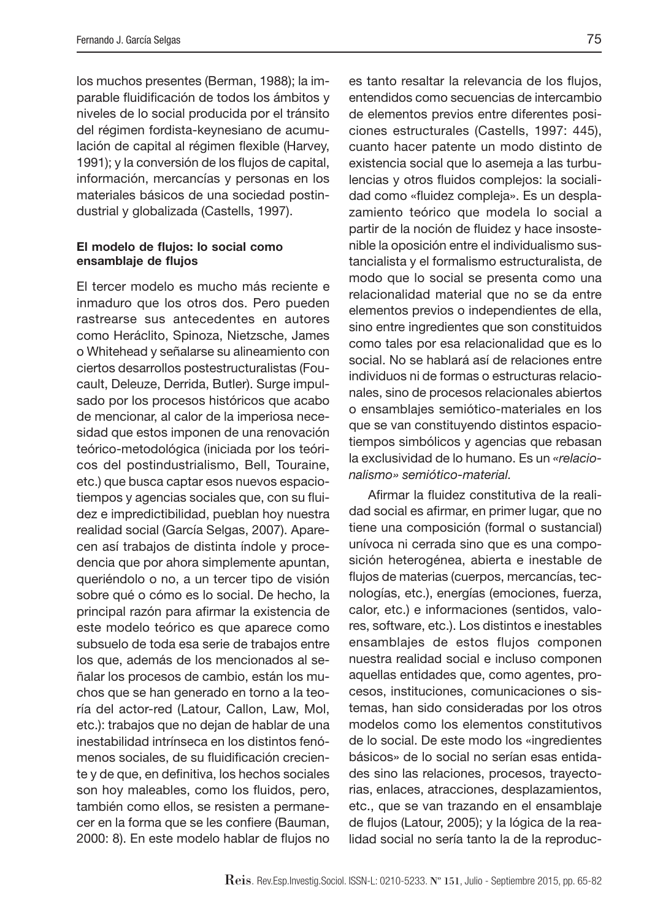los muchos presentes (Berman, 1988); la imparable fluidificación de todos los ámbitos y niveles de lo social producida por el tránsito del régimen fordista-keynesiano de acumulación de capital al régimen flexible (Harvey, 1991); y la conversión de los flujos de capital, información, mercancías y personas en los materiales básicos de una sociedad postindustrial y globalizada (Castells, 1997).

#### **El modelo de flujos: lo social como** ensamblaje de flujos

El tercer modelo es mucho más reciente e inmaduro que los otros dos. Pero pueden rastrearse sus antecedentes en autores como Heráclito, Spinoza, Nietzsche, James o Whitehead y señalarse su alineamiento con ciertos desarrollos postestructuralistas (Foucault, Deleuze, Derrida, Butler). Surge impulsado por los procesos históricos que acabo de mencionar, al calor de la imperiosa necesidad que estos imponen de una renovación teórico-metodológica (iniciada por los teóricos del postindustrialismo, Bell, Touraine, etc.) que busca captar esos nuevos espaciotiempos y agencias sociales que, con su fluidez e impredictibilidad, pueblan hoy nuestra realidad social (García Selgas, 2007). Aparecen así trabajos de distinta índole y procedencia que por ahora simplemente apuntan, queriéndolo o no, a un tercer tipo de visión sobre qué o cómo es lo social. De hecho, la principal razón para afirmar la existencia de este modelo teórico es que aparece como subsuelo de toda esa serie de trabajos entre los que, además de los mencionados al señalar los procesos de cambio, están los muchos que se han generado en torno a la teoría del actor-red (Latour, Callon, Law, Mol, etc.): trabajos que no dejan de hablar de una inestabilidad intrínseca en los distintos fenómenos sociales, de su fluidificación creciente y de que, en definitiva, los hechos sociales son hoy maleables, como los fluidos, pero, también como ellos, se resisten a permanecer en la forma que se les confiere (Bauman, 2000: 8). En este modelo hablar de flujos no

es tanto resaltar la relevancia de los flujos, entendidos como secuencias de intercambio de elementos previos entre diferentes posiciones estructurales (Castells, 1997: 445), cuanto hacer patente un modo distinto de existencia social que lo asemeja a las turbulencias y otros fluidos complejos: la socialidad como «fluidez compleja». Es un desplazamiento teórico que modela lo social a partir de la noción de fluidez y hace insostenible la oposición entre el individualismo sustancialista y el formalismo estructuralista, de modo que lo social se presenta como una relacionalidad material que no se da entre elementos previos o independientes de ella, sino entre ingredientes que son constituidos como tales por esa relacionalidad que es lo social. No se hablará así de relaciones entre individuos ni de formas o estructuras relacionales, sino de procesos relacionales abiertos o ensamblajes semiótico-materiales en los que se van constituyendo distintos espaciotiempos simbólicos y agencias que rebasan la exclusividad de lo humano. Es un «relacionalismo» semiótico-material.

Afirmar la fluidez constitutiva de la realidad social es afirmar, en primer lugar, que no tiene una composición (formal o sustancial) unívoca ni cerrada sino que es una composición heterogénea, abierta e inestable de flujos de materias (cuerpos, mercancías, tecnologías, etc.), energías (emociones, fuerza, calor, etc.) e informaciones (sentidos, valores, software, etc.). Los distintos e inestables ensamblajes de estos flujos componen nuestra realidad social e incluso componen aquellas entidades que, como agentes, procesos, instituciones, comunicaciones o sistemas, han sido consideradas por los otros modelos como los elementos constitutivos de lo social. De este modo los «ingredientes básicos» de lo social no serían esas entidades sino las relaciones, procesos, trayectorias, enlaces, atracciones, desplazamientos, etc., que se van trazando en el ensamblaje de flujos (Latour, 2005); y la lógica de la realidad social no sería tanto la de la reproduc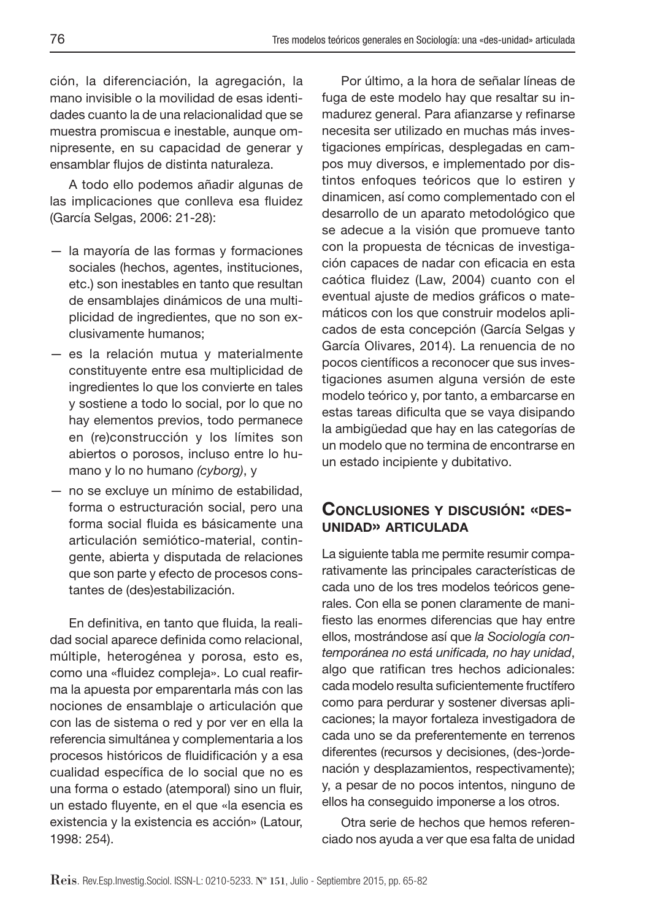ción, la diferenciación, la agregación, la mano invisible o la movilidad de esas identidades cuanto la de una relacionalidad que se muestra promiscua e inestable, aunque omnipresente, en su capacidad de generar y ensamblar flujos de distinta naturaleza.

A todo ello podemos añadir algunas de las implicaciones que conlleva esa fluidez (García Selgas, 2006: 21-28):

- la mayoría de las formas y formaciones sociales (hechos, agentes, instituciones, etc.) son inestables en tanto que resultan de ensamblajes dinámicos de una multiplicidad de ingredientes, que no son exclusivamente humanos;
- es la relación mutua y materialmente constituyente entre esa multiplicidad de ingredientes lo que los convierte en tales y sostiene a todo lo social, por lo que no hay elementos previos, todo permanece en (re)construcción y los límites son abiertos o porosos, incluso entre lo humano y lo no humano (cyborg), y
- no se excluye un mínimo de estabilidad, forma o estructuración social, pero una forma social fluida es básicamente una articulación semiótico-material, contingente, abierta y disputada de relaciones que son parte y efecto de procesos constantes de (des)estabilización.

En definitiva, en tanto que fluida, la realidad social aparece definida como relacional, múltiple, heterogénea y porosa, esto es, como una «fluidez compleja». Lo cual reafirma la apuesta por emparentarla más con las nociones de ensamblaje o articulación que con las de sistema o red y por ver en ella la referencia simultánea y complementaria a los procesos históricos de fluidificación y a esa cualidad específica de lo social que no es una forma o estado (atemporal) sino un fluir, un estado fluyente, en el que «la esencia es existencia y la existencia es acción» (Latour, 1998: 254).

Por último, a la hora de señalar líneas de fuga de este modelo hay que resaltar su inmadurez general. Para afianzarse y refinarse necesita ser utilizado en muchas más investigaciones empíricas, desplegadas en campos muy diversos, e implementado por distintos enfoques teóricos que lo estiren y dinamicen, así como complementado con el desarrollo de un aparato metodológico que se adecue a la visión que promueve tanto con la propuesta de técnicas de investigación capaces de nadar con eficacia en esta caótica fluidez (Law, 2004) cuanto con el eventual ajuste de medios gráficos o matemáticos con los que construir modelos aplicados de esta concepción (García Selgas y García Olivares, 2014). La renuencia de no pocos científicos a reconocer que sus investigaciones asumen alguna versión de este modelo teórico y, por tanto, a embarcarse en estas tareas dificulta que se vaya disipando la ambigüedad que hay en las categorías de un modelo que no termina de encontrarse en un estado incipiente y dubitativo.

# **CONCLUSIONES <sup>Y</sup> DISCUSIÓN: «DES- UNIDAD» ARTICULADA**

La siguiente tabla me permite resumir comparativamente las principales características de cada uno de los tres modelos teóricos generales. Con ella se ponen claramente de manifiesto las enormes diferencias que hay entre ellos, mostrándose así que la Sociología contemporánea no está unificada, no hay unidad, algo que ratifican tres hechos adicionales: cada modelo resulta suficientemente fructífero como para perdurar y sostener diversas aplicaciones; la mayor fortaleza investigadora de cada uno se da preferentemente en terrenos diferentes (recursos y decisiones, (des-)ordenación y desplazamientos, respectivamente); y, a pesar de no pocos intentos, ninguno de ellos ha conseguido imponerse a los otros.

Otra serie de hechos que hemos referenciado nos ayuda a ver que esa falta de unidad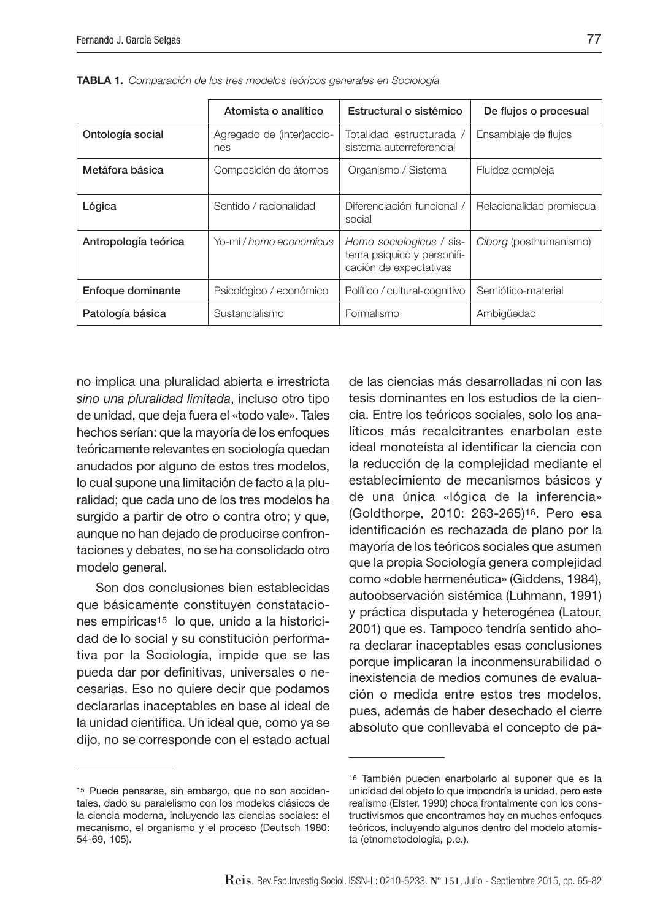|                      | Atomista o analítico             | Estructural o sistémico                                                          | De flujos o procesual    |
|----------------------|----------------------------------|----------------------------------------------------------------------------------|--------------------------|
| Ontología social     | Agregado de (inter)accio-<br>nes | Totalidad estructurada /<br>sistema autorreferencial                             | Ensamblaje de flujos     |
| Metáfora básica      | Composición de átomos            | Organismo / Sistema                                                              | Fluidez compleja         |
| Lógica               | Sentido / racionalidad           | Diferenciación funcional /<br>social                                             | Relacionalidad promiscua |
| Antropología teórica | Yo-mí / homo economicus          | Homo sociologicus / sis-<br>tema psíquico y personifi-<br>cación de expectativas | Ciborg (posthumanismo)   |
| Enfoque dominante    | Psicológico / económico          | Político / cultural-cognitivo                                                    | Semiótico-material       |
| Patología básica     | Sustancialismo                   | Formalismo                                                                       | Ambigüedad               |

TABLA 1. Comparación de los tres modelos teóricos generales en Sociología

no implica una pluralidad abierta e irrestricta sino una pluralidad limitada, incluso otro tipo de unidad, que deja fuera el «todo vale». Tales hechos serían: que la mayoría de los enfoques teóricamente relevantes en sociología quedan anudados por alguno de estos tres modelos, lo cual supone una limitación de facto a la pluralidad; que cada uno de los tres modelos ha surgido a partir de otro o contra otro; y que, aunque no han dejado de producirse confrontaciones y debates, no se ha consolidado otro modelo general.

Son dos conclusiones bien establecidas que básicamente constituyen constataciones empíricas<sup>15</sup> lo que, unido a la historicidad de lo social y su constitución performativa por la Sociología, impide que se las pueda dar por definitivas, universales o necesarias. Eso no quiere decir que podamos declararlas inaceptables en base al ideal de la unidad científica. Un ideal que, como ya se dijo, no se corresponde con el estado actual de las ciencias más desarrolladas ni con las tesis dominantes en los estudios de la ciencia. Entre los teóricos sociales, solo los analíticos más recalcitrantes enarbolan este ideal monoteísta al identificar la ciencia con la reducción de la complejidad mediante el establecimiento de mecanismos básicos y de una única «lógica de la inferencia» (Goldthorpe, 2010: 263-265)16. Pero esa identificación es rechazada de plano por la mayoría de los teóricos sociales que asumen que la propia Sociología genera complejidad como «doble hermenéutica» (Giddens, 1984), autoobservación sistémica (Luhmann, 1991) y práctica disputada y heterogénea (Latour, 2001) que es. Tampoco tendría sentido ahora declarar inaceptables esas conclusiones porque implicaran la inconmensurabilidad o inexistencia de medios comunes de evaluación o medida entre estos tres modelos, pues, además de haber desechado el cierre absoluto que conllevaba el concepto de pa-

<sup>15</sup> Puede pensarse, sin embargo, que no son accidentales, dado su paralelismo con los modelos clásicos de la ciencia moderna, incluyendo las ciencias sociales: el mecanismo, el organismo y el proceso (Deutsch 1980: 54-69, 105).

<sup>16</sup> También pueden enarbolarlo al suponer que es la unicidad del objeto lo que impondría la unidad, pero este realismo (Elster, 1990) choca frontalmente con los constructivismos que encontramos hoy en muchos enfoques teóricos, incluyendo algunos dentro del modelo atomista (etnometodología, p.e.).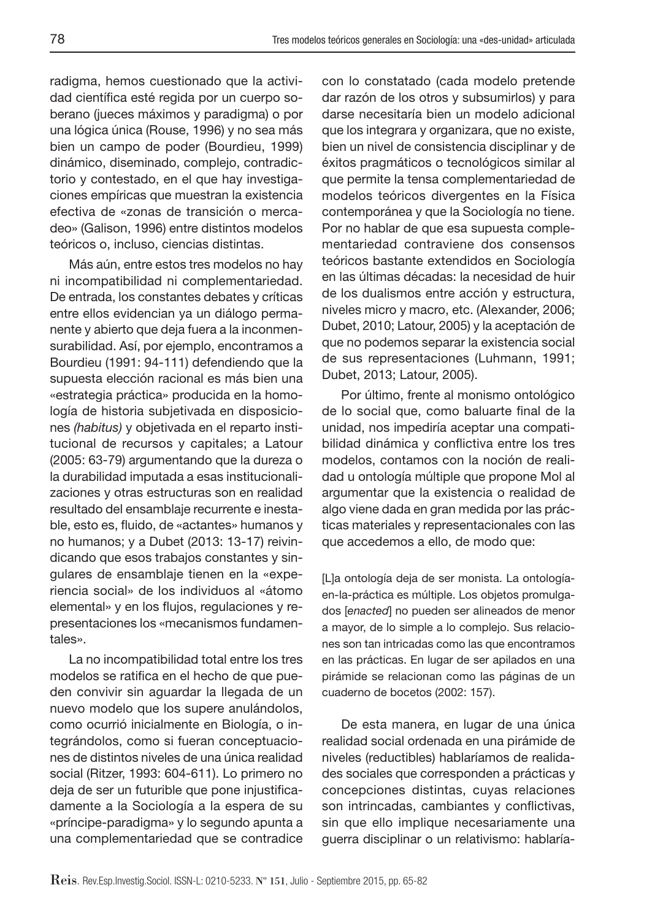radigma, hemos cuestionado que la actividad científica esté regida por un cuerpo soberano (jueces máximos y paradigma) o por una lógica única (Rouse, 1996) y no sea más bien un campo de poder (Bourdieu, 1999) dinámico, diseminado, complejo, contradictorio y contestado, en el que hay investigaciones empíricas que muestran la existencia efectiva de «zonas de transición o mercadeo» (Galison, 1996) entre distintos modelos teóricos o, incluso, ciencias distintas.

Más aún, entre estos tres modelos no hay ni incompatibilidad ni complementariedad. De entrada, los constantes debates y críticas entre ellos evidencian ya un diálogo permanente y abierto que deja fuera a la inconmensurabilidad. Así, por ejemplo, encontramos a Bourdieu (1991: 94-111) defendiendo que la supuesta elección racional es más bien una «estrategia práctica» producida en la homología de historia subjetivada en disposiciones (habitus) y objetivada en el reparto institucional de recursos y capitales; a Latour (2005: 63-79) argumentando que la dureza o la durabilidad imputada a esas institucionalizaciones y otras estructuras son en realidad resultado del ensamblaje recurrente e inestable, esto es, fluido, de «actantes» humanos y no humanos; y a Dubet (2013: 13-17) reivindicando que esos trabajos constantes y singulares de ensamblaje tienen en la «experiencia social» de los individuos al «átomo elemental» y en los flujos, regulaciones y representaciones los «mecanismos fundamentales».

La no incompatibilidad total entre los tres modelos se ratifica en el hecho de que pueden convivir sin aguardar la llegada de un nuevo modelo que los supere anulándolos, como ocurrió inicialmente en Biología, o integrándolos, como si fueran conceptuaciones de distintos niveles de una única realidad social (Ritzer, 1993: 604-611). Lo primero no deja de ser un futurible que pone injustificadamente a la Sociología a la espera de su «príncipe-paradigma» y lo segundo apunta a una complementariedad que se contradice

con lo constatado (cada modelo pretende dar razón de los otros y subsumirlos) y para darse necesitaría bien un modelo adicional que los integrara y organizara, que no existe, bien un nivel de consistencia disciplinar y de éxitos pragmáticos o tecnológicos similar al que permite la tensa complementariedad de modelos teóricos divergentes en la Física contemporánea y que la Sociología no tiene. Por no hablar de que esa supuesta complementariedad contraviene dos consensos teóricos bastante extendidos en Sociología en las últimas décadas: la necesidad de huir de los dualismos entre acción y estructura, niveles micro y macro, etc. (Alexander, 2006; Dubet, 2010; Latour, 2005) y la aceptación de que no podemos separar la existencia social de sus representaciones (Luhmann, 1991; Dubet, 2013; Latour, 2005).

Por último, frente al monismo ontológico de lo social que, como baluarte final de la unidad, nos impediría aceptar una compatibilidad dinámica y conflictiva entre los tres modelos, contamos con la noción de realidad u ontología múltiple que propone Mol al argumentar que la existencia o realidad de algo viene dada en gran medida por las prácticas materiales y representacionales con las que accedemos a ello, de modo que:

[L]a ontología deja de ser monista. La ontologíaen-la-práctica es múltiple. Los objetos promulgados [enacted] no pueden ser alineados de menor a mayor, de lo simple a lo complejo. Sus relaciones son tan intricadas como las que encontramos en las prácticas. En lugar de ser apilados en una pirámide se relacionan como las páginas de un cuaderno de bocetos (2002: 157).

De esta manera, en lugar de una única realidad social ordenada en una pirámide de niveles (reductibles) hablaríamos de realidades sociales que corresponden a prácticas y concepciones distintas, cuyas relaciones son intrincadas, cambiantes y conflictivas, sin que ello implique necesariamente una guerra disciplinar o un relativismo: hablaría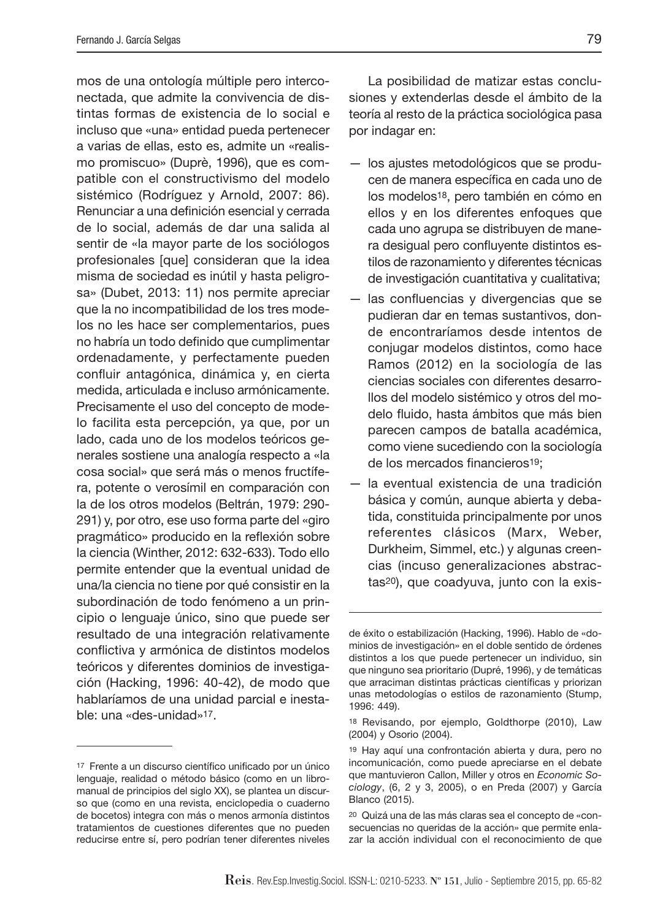mos de una ontología múltiple pero interconectada, que admite la convivencia de distintas formas de existencia de lo social e incluso que «una» entidad pueda pertenecer a varias de ellas, esto es, admite un «realismo promiscuo» (Duprè, 1996), que es compatible con el constructivismo del modelo sistémico (Rodríguez y Arnold, 2007: 86). Renunciar a una definición esencial y cerrada de lo social, además de dar una salida al sentir de «la mayor parte de los sociólogos profesionales [que] consideran que la idea misma de sociedad es inútil y hasta peligrosa» (Dubet, 2013: 11) nos permite apreciar que la no incompatibilidad de los tres modelos no les hace ser complementarios, pues no habría un todo definido que cumplimentar ordenadamente, y perfectamente pueden confluir antagónica, dinámica y, en cierta medida, articulada e incluso armónicamente. Precisamente el uso del concepto de modelo facilita esta percepción, ya que, por un lado, cada uno de los modelos teóricos generales sostiene una analogía respecto a «la cosa social» que será más o menos fructífera, potente o verosímil en comparación con la de los otros modelos (Beltrán, 1979: 290- 291) y, por otro, ese uso forma parte del «giro pragmático» producido en la reflexión sobre la ciencia (Winther, 2012: 632-633). Todo ello permite entender que la eventual unidad de una/la ciencia no tiene por qué consistir en la subordinación de todo fenómeno a un principio o lenguaje único, sino que puede ser resultado de una integración relativamente conflictiva y armónica de distintos modelos teóricos y diferentes dominios de investigación (Hacking, 1996: 40-42), de modo que hablaríamos de una unidad parcial e inestable: una «des-unidad»17.

La posibilidad de matizar estas conclusiones y extenderlas desde el ámbito de la teoría al resto de la práctica sociológica pasa por indagar en:

- los ajustes metodológicos que se producen de manera específica en cada uno de los modelos18, pero también en cómo en ellos y en los diferentes enfoques que cada uno agrupa se distribuyen de manera desigual pero confluyente distintos estilos de razonamiento y diferentes técnicas de investigación cuantitativa y cualitativa;
- las confluencias y divergencias que se pudieran dar en temas sustantivos, donde encontraríamos desde intentos de conjugar modelos distintos, como hace Ramos (2012) en la sociología de las ciencias sociales con diferentes desarrollos del modelo sistémico y otros del modelo fluido, hasta ámbitos que más bien parecen campos de batalla académica, como viene sucediendo con la sociología de los mercados financieros<sup>19</sup>;
- la eventual existencia de una tradición básica y común, aunque abierta y debatida, constituida principalmente por unos referentes clásicos (Marx, Weber, Durkheim, Simmel, etc.) y algunas creencias (incuso generalizaciones abstractas20), que coadyuva, junto con la exis-

<sup>17</sup> Frente a un discurso científico unificado por un único lenguaje, realidad o método básico (como en un libromanual de principios del siglo XX), se plantea un discurso que (como en una revista, enciclopedia o cuaderno de bocetos) integra con más o menos armonía distintos tratamientos de cuestiones diferentes que no pueden reducirse entre sí, pero podrían tener diferentes niveles

de éxito o estabilización (Hacking, 1996). Hablo de «dominios de investigación» en el doble sentido de órdenes distintos a los que puede pertenecer un individuo, sin que ninguno sea prioritario (Dupré, 1996), y de temáticas que arraciman distintas prácticas científicas y priorizan unas metodologías o estilos de razonamiento (Stump, 1996: 449).

<sup>18</sup> Revisando, por ejemplo, Goldthorpe (2010), Law (2004) y Osorio (2004).

<sup>19</sup> Hay aquí una confrontación abierta y dura, pero no incomunicación, como puede apreciarse en el debate que mantuvieron Callon, Miller y otros en Economic Sociology, (6, 2 y 3, 2005), o en Preda (2007) y García Blanco (2015).

<sup>20</sup> Quizá una de las más claras sea el concepto de «consecuencias no queridas de la acción» que permite enlazar la acción individual con el reconocimiento de que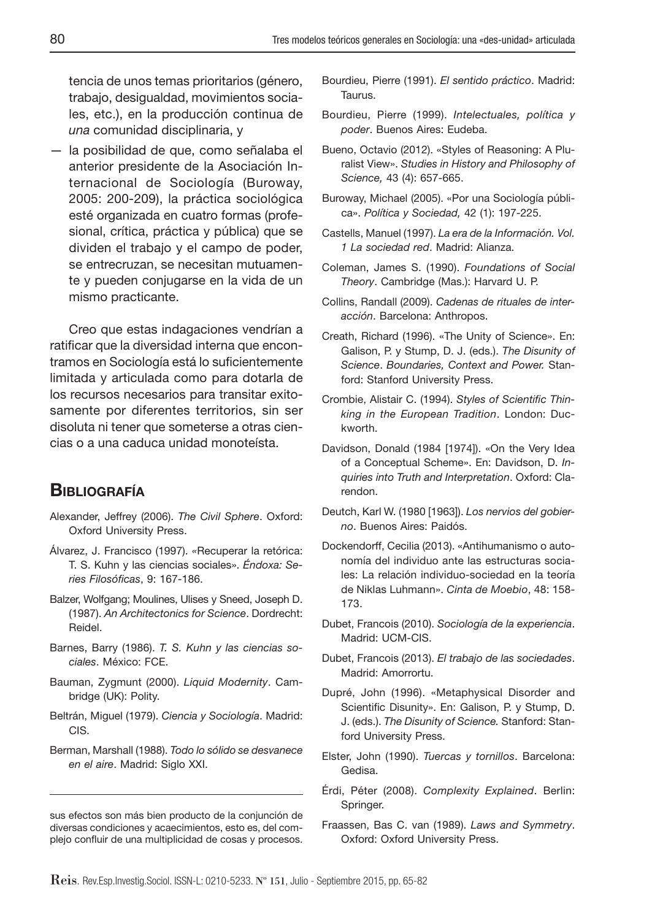tencia de unos temas prioritarios (género, trabajo, desigualdad, movimientos sociales, etc.), en la producción continua de una comunidad disciplinaria, y

— la posibilidad de que, como señalaba el anterior presidente de la Asociación Internacional de Sociología (Buroway, 2005: 200-209), la práctica sociológica esté organizada en cuatro formas (profesional, crítica, práctica y pública) que se dividen el trabajo y el campo de poder, se entrecruzan, se necesitan mutuamente y pueden conjugarse en la vida de un mismo practicante.

Creo que estas indagaciones vendrían a ratificar que la diversidad interna que encontramos en Sociología está lo suficientemente limitada y articulada como para dotarla de los recursos necesarios para transitar exitosamente por diferentes territorios, sin ser disoluta ni tener que someterse a otras ciencias o a una caduca unidad monoteísta.

## **BIBLIOGRAFÍA**

- Alexander, Jeffrey (2006). The Civil Sphere. Oxford: Oxford University Press.
- Álvarez, J. Francisco (1997). «Recuperar la retórica: T. S. Kuhn y las ciencias sociales». Éndoxa: Series Filosóficas, 9: 167-186.
- Balzer, Wolfgang; Moulines, Ulises y Sneed, Joseph D. (1987). An Architectonics for Science. Dordrecht: Reidel.
- Barnes, Barry (1986). T. S. Kuhn y las ciencias sociales. México: FCE.
- Bauman, Zygmunt (2000). Liquid Modernity. Cambridge (UK): Polity.
- Beltrán, Miguel (1979). Ciencia y Sociología. Madrid: CIS.
- Berman, Marshall (1988). Todo lo sólido se desvanece en el aire. Madrid: Siglo XXI.
- Bourdieu, Pierre (1991). El sentido práctico. Madrid: Taurus.
- Bourdieu, Pierre (1999). Intelectuales, política y poder. Buenos Aires: Eudeba.
- Bueno, Octavio (2012). «Styles of Reasoning: A Pluralist View». Studies in History and Philosophy of Science, 43 (4): 657-665.
- Buroway, Michael (2005). «Por una Sociología pública». Política y Sociedad, 42 (1): 197-225.
- Castells, Manuel (1997). La era de la Información. Vol. 1 La sociedad red. Madrid: Alianza.
- Coleman, James S. (1990). Foundations of Social Theory. Cambridge (Mas.): Harvard U. P.
- Collins, Randall (2009). Cadenas de rituales de interacción. Barcelona: Anthropos.
- Creath, Richard (1996). «The Unity of Science». En: Galison, P. y Stump, D. J. (eds.). The Disunity of Science. Boundaries, Context and Power. Stanford: Stanford University Press.
- Crombie, Alistair C. (1994). Styles of Scientific Thinking in the European Tradition. London: Duckworth.
- Davidson, Donald (1984 [1974]). «On the Very Idea of a Conceptual Scheme». En: Davidson, D. Inquiries into Truth and Interpretation. Oxford: Clarendon.
- Deutch, Karl W. (1980 [1963]). Los nervios del gobierno. Buenos Aires: Paidós.
- Dockendorff, Cecilia (2013). «Antihumanismo o autonomía del individuo ante las estructuras sociales: La relación individuo-sociedad en la teoría de Niklas Luhmann». Cinta de Moebio, 48: 158- 173.
- Dubet, Francois (2010). Sociología de la experiencia. Madrid: UCM-CIS.
- Dubet, Francois (2013). El trabajo de las sociedades. Madrid: Amorrortu.
- Dupré, John (1996). «Metaphysical Disorder and Scientific Disunity». En: Galison, P. y Stump, D. J. (eds.). The Disunity of Science. Stanford: Stanford University Press.
- Elster, John (1990). Tuercas y tornillos. Barcelona: Gedisa.
- Érdi, Péter (2008). Complexity Explained. Berlin: Springer.
- Fraassen, Bas C. van (1989). Laws and Symmetry. Oxford: Oxford University Press.

sus efectos son más bien producto de la conjunción de diversas condiciones y acaecimientos, esto es, del complejo confluir de una multiplicidad de cosas y procesos.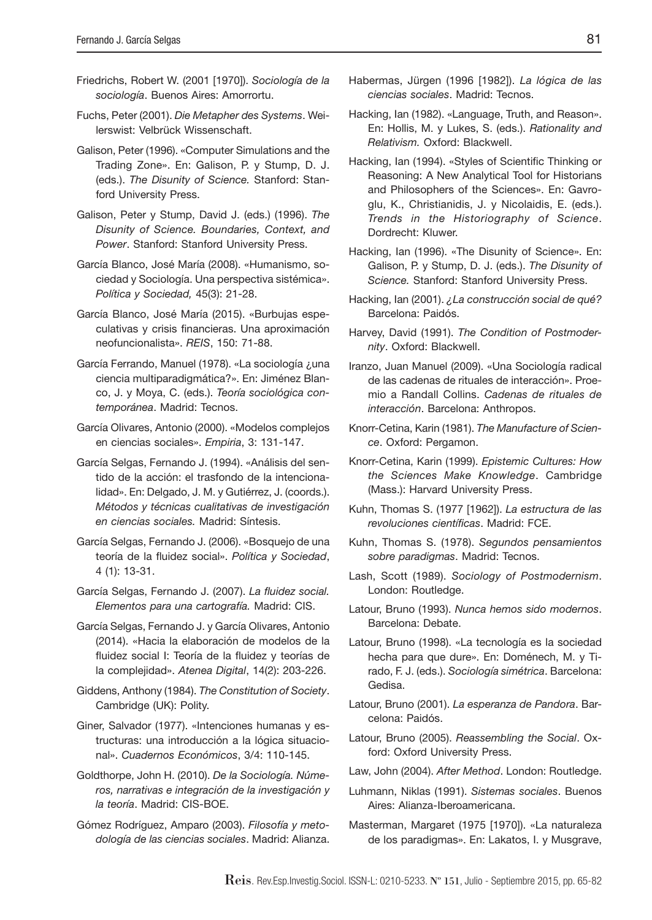- Friedrichs, Robert W. (2001 [1970]). Sociología de la sociología. Buenos Aires: Amorrortu.
- Fuchs, Peter (2001). Die Metapher des Systems. Weilerswist: Velbrück Wissenschaft.
- Galison, Peter (1996). «Computer Simulations and the Trading Zone». En: Galison, P. y Stump, D. J. (eds.). The Disunity of Science. Stanford: Stanford University Press.
- Galison, Peter y Stump, David J. (eds.) (1996). The Disunity of Science. Boundaries, Context, and Power. Stanford: Stanford University Press.
- García Blanco, José María (2008). «Humanismo, sociedad y Sociología. Una perspectiva sistémica». Política y Sociedad, 45(3): 21-28.
- García Blanco, José María (2015). «Burbujas especulativas y crisis financieras. Una aproximación neofuncionalista». REIS, 150: 71-88.
- García Ferrando, Manuel (1978). «La sociología ¿una ciencia multiparadigmática?». En: Jiménez Blanco, J. y Moya, C. (eds.). Teoría sociológica contemporánea. Madrid: Tecnos.
- García Olivares, Antonio (2000). «Modelos complejos en ciencias sociales». Empiria, 3: 131-147.
- García Selgas, Fernando J. (1994). «Análisis del sentido de la acción: el trasfondo de la intencionalidad». En: Delgado, J. M. y Gutiérrez, J. (coords.). Métodos y técnicas cualitativas de investigación en ciencias sociales. Madrid: Síntesis.
- García Selgas, Fernando J. (2006). «Bosquejo de una teoría de la fluidez social». Política y Sociedad, 4 (1): 13-31.
- García Selgas, Fernando J. (2007). La fluidez social. Elementos para una cartografía. Madrid: CIS.
- García Selgas, Fernando J. y García Olivares, Antonio (2014). «Hacia la elaboración de modelos de la fluidez social I: Teoría de la fluidez y teorías de la complejidad». Atenea Digital, 14(2): 203-226.
- Giddens, Anthony (1984). The Constitution of Society. Cambridge (UK): Polity.
- Giner, Salvador (1977). «Intenciones humanas y estructuras: una introducción a la lógica situacional». Cuadernos Económicos, 3/4: 110-145.
- Goldthorpe, John H. (2010). De la Sociología. Números, narrativas e integración de la investigación y la teoría. Madrid: CIS-BOE.
- Gómez Rodríguez, Amparo (2003). Filosofía y metodología de las ciencias sociales. Madrid: Alianza.
- Habermas, Jürgen (1996 [1982]). La lógica de las ciencias sociales. Madrid: Tecnos.
- Hacking, Ian (1982). «Language, Truth, and Reason». En: Hollis, M. y Lukes, S. (eds.). Rationality and Relativism. Oxford: Blackwell.
- Hacking, Ian (1994). «Styles of Scientific Thinking or Reasoning: A New Analytical Tool for Historians and Philosophers of the Sciences». En: Gavroglu, K., Christianidis, J. y Nicolaidis, E. (eds.). Trends in the Historiography of Science. Dordrecht: Kluwer.
- Hacking, Ian (1996). «The Disunity of Science». En: Galison, P. y Stump, D. J. (eds.). The Disunity of Science. Stanford: Stanford University Press.
- Hacking, Ian (2001). ¿La construcción social de qué? Barcelona: Paidós.
- Harvey, David (1991). The Condition of Postmodernity. Oxford: Blackwell.
- Iranzo, Juan Manuel (2009). «Una Sociología radical de las cadenas de rituales de interacción». Proemio a Randall Collins. Cadenas de rituales de interacción. Barcelona: Anthropos.
- Knorr-Cetina, Karin (1981). The Manufacture of Science. Oxford: Pergamon.
- Knorr-Cetina, Karin (1999). Epistemic Cultures: How the Sciences Make Knowledge. Cambridge (Mass.): Harvard University Press.
- Kuhn, Thomas S. (1977 [1962]). La estructura de las revoluciones científicas. Madrid: FCE.
- Kuhn, Thomas S. (1978). Segundos pensamientos sobre paradigmas. Madrid: Tecnos.
- Lash, Scott (1989). Sociology of Postmodernism. London: Routledge.
- Latour, Bruno (1993). Nunca hemos sido modernos. Barcelona: Debate.
- Latour, Bruno (1998). «La tecnología es la sociedad hecha para que dure». En: Doménech, M. y Tirado, F. J. (eds.). Sociología simétrica. Barcelona: Gedisa.
- Latour, Bruno (2001). La esperanza de Pandora. Barcelona: Paidós.
- Latour, Bruno (2005). Reassembling the Social. Oxford: Oxford University Press.
- Law, John (2004). After Method. London: Routledge.
- Luhmann, Niklas (1991). Sistemas sociales. Buenos Aires: Alianza-Iberoamericana.
- Masterman, Margaret (1975 [1970]). «La naturaleza de los paradigmas». En: Lakatos, I. y Musgrave,